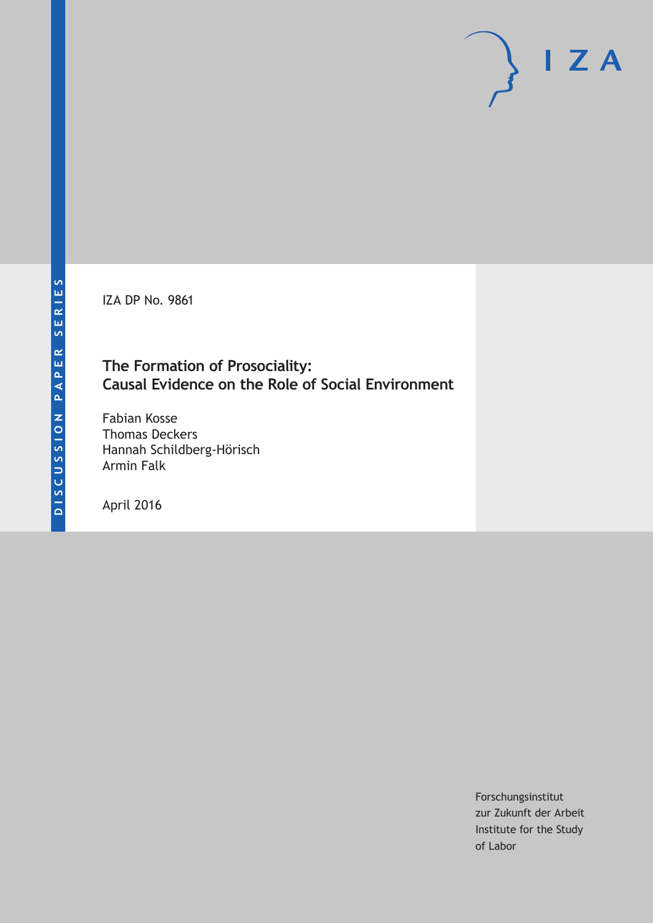IZA DP No. 9861

### **The Formation of Prosociality: Causal Evidence on the Role of Social Environment**

Fabian Kosse Thomas Deckers Hannah Schildberg-Hörisch Armin Falk

April 2016

Forschungsinstitut zur Zukunft der Arbeit Institute for the Study of Labor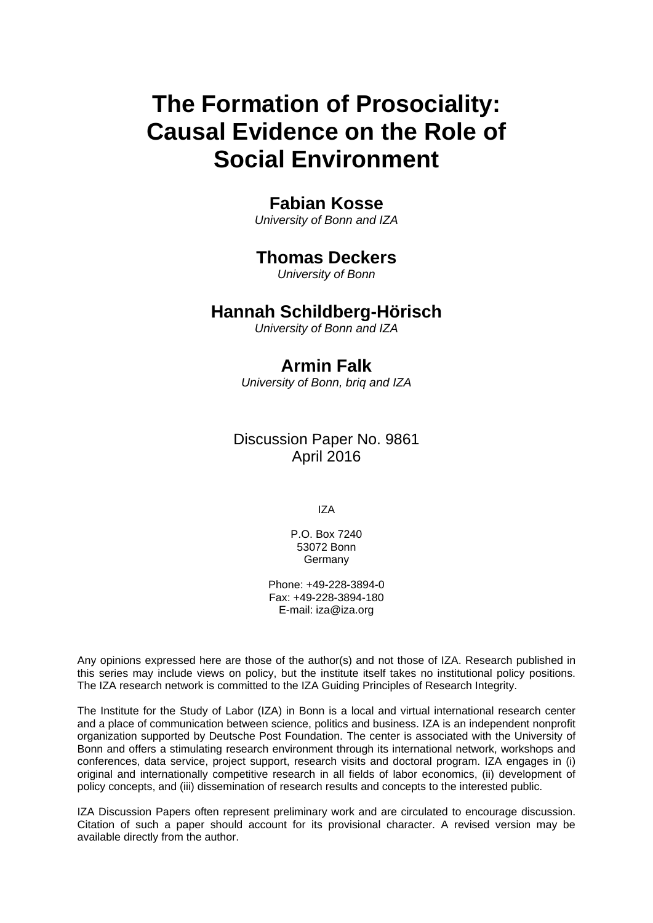# **The Formation of Prosociality: Causal Evidence on the Role of Social Environment**

### **Fabian Kosse**

*University of Bonn and IZA* 

## **Thomas Deckers**

*University of Bonn* 

### **Hannah Schildberg-Hörisch**

*University of Bonn and IZA*

# **Armin Falk**

*University of Bonn, briq and IZA* 

Discussion Paper No. 9861 April 2016

IZA

P.O. Box 7240 53072 Bonn Germany

Phone: +49-228-3894-0 Fax: +49-228-3894-180 E-mail: iza@iza.org

Any opinions expressed here are those of the author(s) and not those of IZA. Research published in this series may include views on policy, but the institute itself takes no institutional policy positions. The IZA research network is committed to the IZA Guiding Principles of Research Integrity.

The Institute for the Study of Labor (IZA) in Bonn is a local and virtual international research center and a place of communication between science, politics and business. IZA is an independent nonprofit organization supported by Deutsche Post Foundation. The center is associated with the University of Bonn and offers a stimulating research environment through its international network, workshops and conferences, data service, project support, research visits and doctoral program. IZA engages in (i) original and internationally competitive research in all fields of labor economics, (ii) development of policy concepts, and (iii) dissemination of research results and concepts to the interested public.

IZA Discussion Papers often represent preliminary work and are circulated to encourage discussion. Citation of such a paper should account for its provisional character. A revised version may be available directly from the author.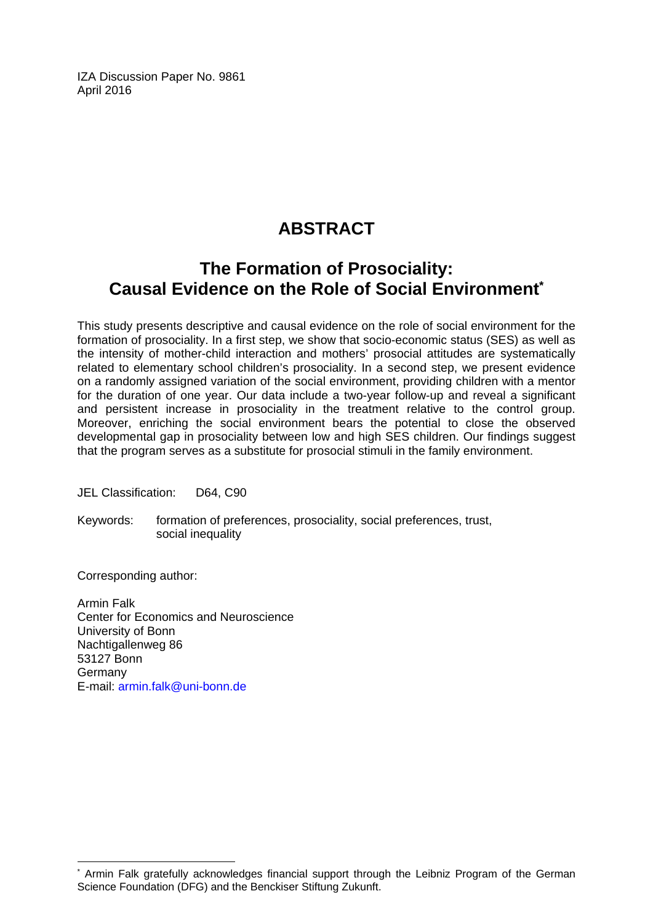IZA Discussion Paper No. 9861 April 2016

# **ABSTRACT**

# **The Formation of Prosociality: Causal Evidence on the Role of Social Environment\***

This study presents descriptive and causal evidence on the role of social environment for the formation of prosociality. In a first step, we show that socio-economic status (SES) as well as the intensity of mother-child interaction and mothers' prosocial attitudes are systematically related to elementary school children's prosociality. In a second step, we present evidence on a randomly assigned variation of the social environment, providing children with a mentor for the duration of one year. Our data include a two-year follow-up and reveal a significant and persistent increase in prosociality in the treatment relative to the control group. Moreover, enriching the social environment bears the potential to close the observed developmental gap in prosociality between low and high SES children. Our findings suggest that the program serves as a substitute for prosocial stimuli in the family environment.

JEL Classification: D64, C90

Keywords: formation of preferences, prosociality, social preferences, trust, social inequality

Corresponding author:

 $\overline{a}$ 

Armin Falk Center for Economics and Neuroscience University of Bonn Nachtigallenweg 86 53127 Bonn Germany E-mail: armin.falk@uni-bonn.de

<sup>\*</sup> Armin Falk gratefully acknowledges financial support through the Leibniz Program of the German Science Foundation (DFG) and the Benckiser Stiftung Zukunft.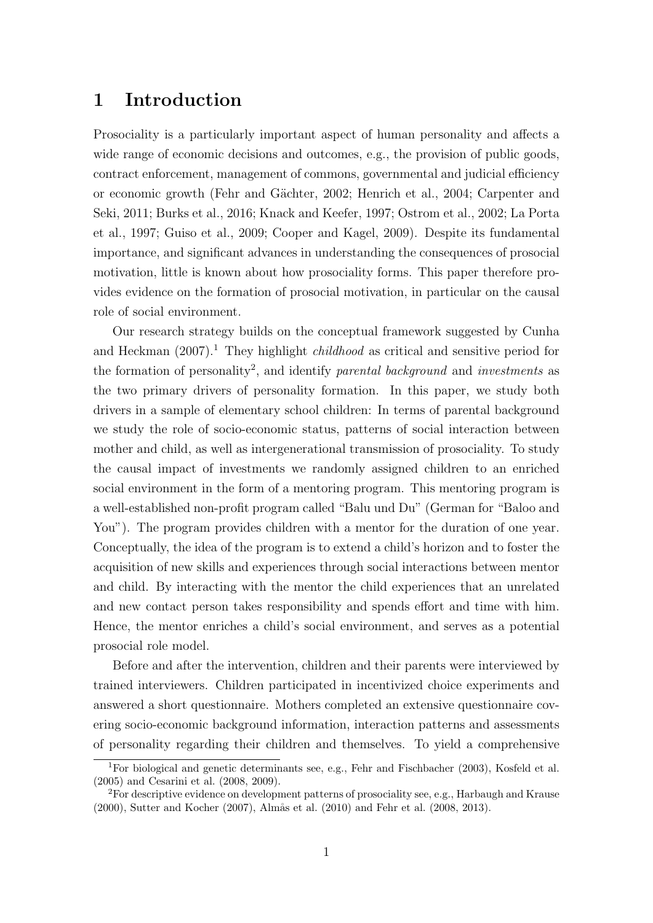## 1 Introduction

Prosociality is a particularly important aspect of human personality and affects a wide range of economic decisions and outcomes, e.g., the provision of public goods, contract enforcement, management of commons, governmental and judicial efficiency or economic growth (Fehr and G¨achter, 2002; Henrich et al., 2004; Carpenter and Seki, 2011; Burks et al., 2016; Knack and Keefer, 1997; Ostrom et al., 2002; La Porta et al., 1997; Guiso et al., 2009; Cooper and Kagel, 2009). Despite its fundamental importance, and significant advances in understanding the consequences of prosocial motivation, little is known about how prosociality forms. This paper therefore provides evidence on the formation of prosocial motivation, in particular on the causal role of social environment.

Our research strategy builds on the conceptual framework suggested by Cunha and Heckman  $(2007)^{1}$ . They highlight *childhood* as critical and sensitive period for the formation of personality<sup>2</sup>, and identify *parental background* and *investments* as the two primary drivers of personality formation. In this paper, we study both drivers in a sample of elementary school children: In terms of parental background we study the role of socio-economic status, patterns of social interaction between mother and child, as well as intergenerational transmission of prosociality. To study the causal impact of investments we randomly assigned children to an enriched social environment in the form of a mentoring program. This mentoring program is a well-established non-profit program called "Balu und Du" (German for "Baloo and You"). The program provides children with a mentor for the duration of one year. Conceptually, the idea of the program is to extend a child's horizon and to foster the acquisition of new skills and experiences through social interactions between mentor and child. By interacting with the mentor the child experiences that an unrelated and new contact person takes responsibility and spends effort and time with him. Hence, the mentor enriches a child's social environment, and serves as a potential prosocial role model.

Before and after the intervention, children and their parents were interviewed by trained interviewers. Children participated in incentivized choice experiments and answered a short questionnaire. Mothers completed an extensive questionnaire covering socio-economic background information, interaction patterns and assessments of personality regarding their children and themselves. To yield a comprehensive

<sup>1</sup>For biological and genetic determinants see, e.g., Fehr and Fischbacher (2003), Kosfeld et al. (2005) and Cesarini et al. (2008, 2009).

 ${}^{2}$ For descriptive evidence on development patterns of prosociality see, e.g., Harbaugh and Krause (2000), Sutter and Kocher (2007), Almås et al. (2010) and Fehr et al. (2008, 2013).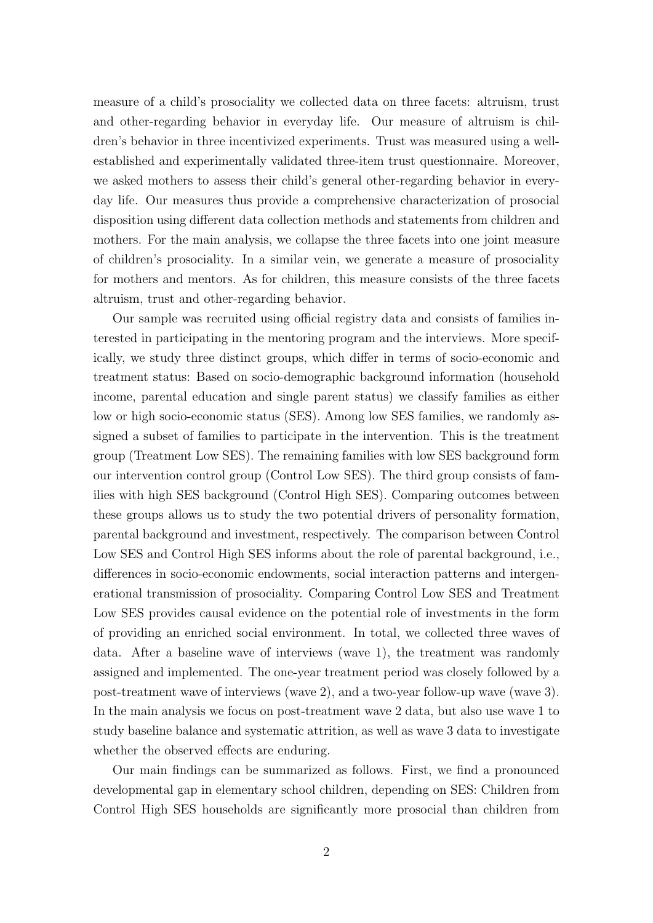measure of a child's prosociality we collected data on three facets: altruism, trust and other-regarding behavior in everyday life. Our measure of altruism is children's behavior in three incentivized experiments. Trust was measured using a wellestablished and experimentally validated three-item trust questionnaire. Moreover, we asked mothers to assess their child's general other-regarding behavior in everyday life. Our measures thus provide a comprehensive characterization of prosocial disposition using different data collection methods and statements from children and mothers. For the main analysis, we collapse the three facets into one joint measure of children's prosociality. In a similar vein, we generate a measure of prosociality for mothers and mentors. As for children, this measure consists of the three facets altruism, trust and other-regarding behavior.

Our sample was recruited using official registry data and consists of families interested in participating in the mentoring program and the interviews. More specifically, we study three distinct groups, which differ in terms of socio-economic and treatment status: Based on socio-demographic background information (household income, parental education and single parent status) we classify families as either low or high socio-economic status (SES). Among low SES families, we randomly assigned a subset of families to participate in the intervention. This is the treatment group (Treatment Low SES). The remaining families with low SES background form our intervention control group (Control Low SES). The third group consists of families with high SES background (Control High SES). Comparing outcomes between these groups allows us to study the two potential drivers of personality formation, parental background and investment, respectively. The comparison between Control Low SES and Control High SES informs about the role of parental background, i.e., differences in socio-economic endowments, social interaction patterns and intergenerational transmission of prosociality. Comparing Control Low SES and Treatment Low SES provides causal evidence on the potential role of investments in the form of providing an enriched social environment. In total, we collected three waves of data. After a baseline wave of interviews (wave 1), the treatment was randomly assigned and implemented. The one-year treatment period was closely followed by a post-treatment wave of interviews (wave 2), and a two-year follow-up wave (wave 3). In the main analysis we focus on post-treatment wave 2 data, but also use wave 1 to study baseline balance and systematic attrition, as well as wave 3 data to investigate whether the observed effects are enduring.

Our main findings can be summarized as follows. First, we find a pronounced developmental gap in elementary school children, depending on SES: Children from Control High SES households are significantly more prosocial than children from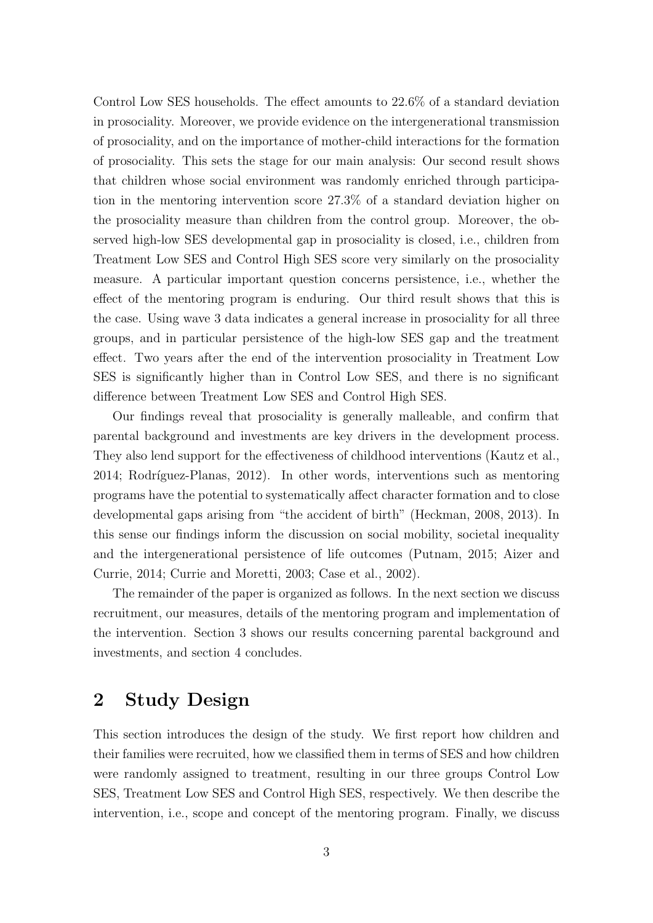Control Low SES households. The effect amounts to 22.6% of a standard deviation in prosociality. Moreover, we provide evidence on the intergenerational transmission of prosociality, and on the importance of mother-child interactions for the formation of prosociality. This sets the stage for our main analysis: Our second result shows that children whose social environment was randomly enriched through participation in the mentoring intervention score 27.3% of a standard deviation higher on the prosociality measure than children from the control group. Moreover, the observed high-low SES developmental gap in prosociality is closed, i.e., children from Treatment Low SES and Control High SES score very similarly on the prosociality measure. A particular important question concerns persistence, i.e., whether the effect of the mentoring program is enduring. Our third result shows that this is the case. Using wave 3 data indicates a general increase in prosociality for all three groups, and in particular persistence of the high-low SES gap and the treatment effect. Two years after the end of the intervention prosociality in Treatment Low SES is significantly higher than in Control Low SES, and there is no significant difference between Treatment Low SES and Control High SES.

Our findings reveal that prosociality is generally malleable, and confirm that parental background and investments are key drivers in the development process. They also lend support for the effectiveness of childhood interventions (Kautz et al., 2014; Rodríguez-Planas, 2012). In other words, interventions such as mentoring programs have the potential to systematically affect character formation and to close developmental gaps arising from "the accident of birth" (Heckman, 2008, 2013). In this sense our findings inform the discussion on social mobility, societal inequality and the intergenerational persistence of life outcomes (Putnam, 2015; Aizer and Currie, 2014; Currie and Moretti, 2003; Case et al., 2002).

The remainder of the paper is organized as follows. In the next section we discuss recruitment, our measures, details of the mentoring program and implementation of the intervention. Section 3 shows our results concerning parental background and investments, and section 4 concludes.

# 2 Study Design

This section introduces the design of the study. We first report how children and their families were recruited, how we classified them in terms of SES and how children were randomly assigned to treatment, resulting in our three groups Control Low SES, Treatment Low SES and Control High SES, respectively. We then describe the intervention, i.e., scope and concept of the mentoring program. Finally, we discuss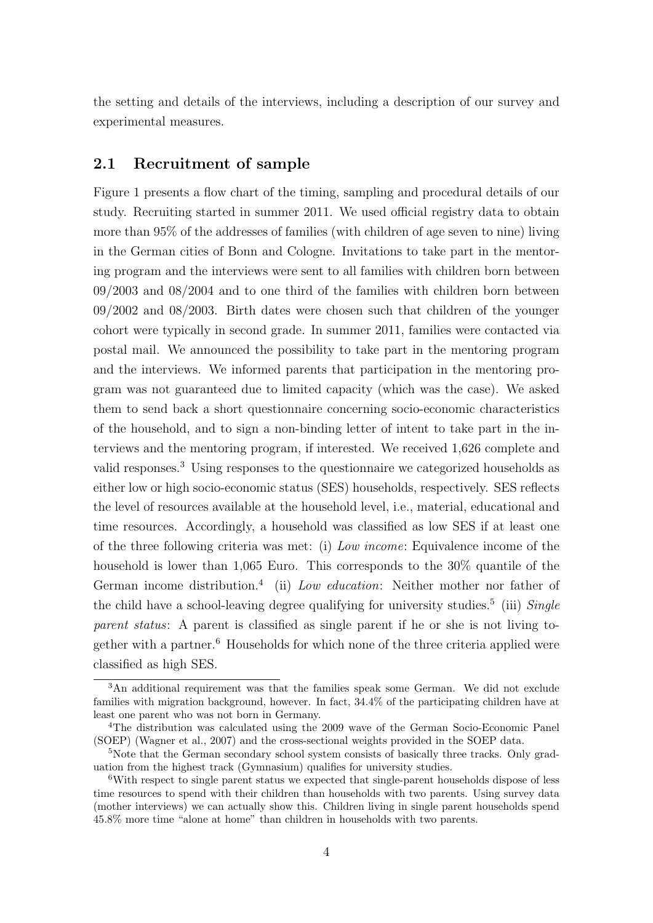the setting and details of the interviews, including a description of our survey and experimental measures.

### 2.1 Recruitment of sample

Figure 1 presents a flow chart of the timing, sampling and procedural details of our study. Recruiting started in summer 2011. We used official registry data to obtain more than 95% of the addresses of families (with children of age seven to nine) living in the German cities of Bonn and Cologne. Invitations to take part in the mentoring program and the interviews were sent to all families with children born between 09/2003 and 08/2004 and to one third of the families with children born between 09/2002 and 08/2003. Birth dates were chosen such that children of the younger cohort were typically in second grade. In summer 2011, families were contacted via postal mail. We announced the possibility to take part in the mentoring program and the interviews. We informed parents that participation in the mentoring program was not guaranteed due to limited capacity (which was the case). We asked them to send back a short questionnaire concerning socio-economic characteristics of the household, and to sign a non-binding letter of intent to take part in the interviews and the mentoring program, if interested. We received 1,626 complete and valid responses.<sup>3</sup> Using responses to the questionnaire we categorized households as either low or high socio-economic status (SES) households, respectively. SES reflects the level of resources available at the household level, i.e., material, educational and time resources. Accordingly, a household was classified as low SES if at least one of the three following criteria was met: (i) Low income: Equivalence income of the household is lower than 1,065 Euro. This corresponds to the 30% quantile of the German income distribution.<sup>4</sup> (ii) Low education: Neither mother nor father of the child have a school-leaving degree qualifying for university studies.<sup>5</sup> (iii)  $Single$ parent status: A parent is classified as single parent if he or she is not living together with a partner.<sup>6</sup> Households for which none of the three criteria applied were classified as high SES.

<sup>3</sup>An additional requirement was that the families speak some German. We did not exclude families with migration background, however. In fact, 34.4% of the participating children have at least one parent who was not born in Germany.

<sup>4</sup>The distribution was calculated using the 2009 wave of the German Socio-Economic Panel (SOEP) (Wagner et al., 2007) and the cross-sectional weights provided in the SOEP data.

<sup>&</sup>lt;sup>5</sup>Note that the German secondary school system consists of basically three tracks. Only graduation from the highest track (Gymnasium) qualifies for university studies.

<sup>6</sup>With respect to single parent status we expected that single-parent households dispose of less time resources to spend with their children than households with two parents. Using survey data (mother interviews) we can actually show this. Children living in single parent households spend 45.8% more time "alone at home" than children in households with two parents.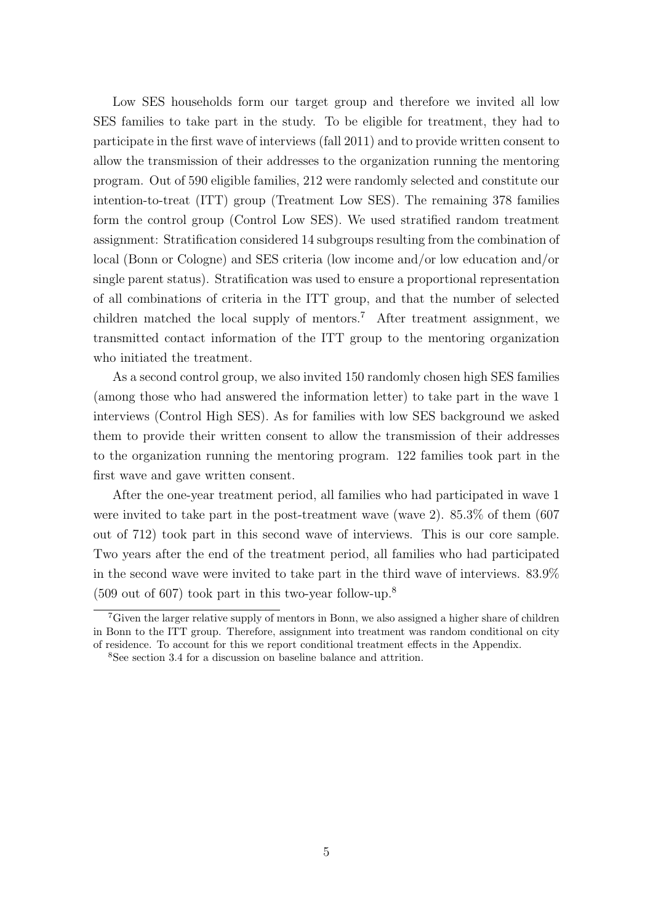Low SES households form our target group and therefore we invited all low SES families to take part in the study. To be eligible for treatment, they had to participate in the first wave of interviews (fall 2011) and to provide written consent to allow the transmission of their addresses to the organization running the mentoring program. Out of 590 eligible families, 212 were randomly selected and constitute our intention-to-treat (ITT) group (Treatment Low SES). The remaining 378 families form the control group (Control Low SES). We used stratified random treatment assignment: Stratification considered 14 subgroups resulting from the combination of local (Bonn or Cologne) and SES criteria (low income and/or low education and/or single parent status). Stratification was used to ensure a proportional representation of all combinations of criteria in the ITT group, and that the number of selected children matched the local supply of mentors.<sup>7</sup> After treatment assignment, we transmitted contact information of the ITT group to the mentoring organization who initiated the treatment.

As a second control group, we also invited 150 randomly chosen high SES families (among those who had answered the information letter) to take part in the wave 1 interviews (Control High SES). As for families with low SES background we asked them to provide their written consent to allow the transmission of their addresses to the organization running the mentoring program. 122 families took part in the first wave and gave written consent.

After the one-year treatment period, all families who had participated in wave 1 were invited to take part in the post-treatment wave (wave 2). 85.3% of them (607 out of 712) took part in this second wave of interviews. This is our core sample. Two years after the end of the treatment period, all families who had participated in the second wave were invited to take part in the third wave of interviews. 83.9%  $(509 \text{ out of } 607)$  took part in this two-year follow-up.<sup>8</sup>

<sup>&</sup>lt;sup>7</sup>Given the larger relative supply of mentors in Bonn, we also assigned a higher share of children in Bonn to the ITT group. Therefore, assignment into treatment was random conditional on city of residence. To account for this we report conditional treatment effects in the Appendix.

<sup>8</sup>See section 3.4 for a discussion on baseline balance and attrition.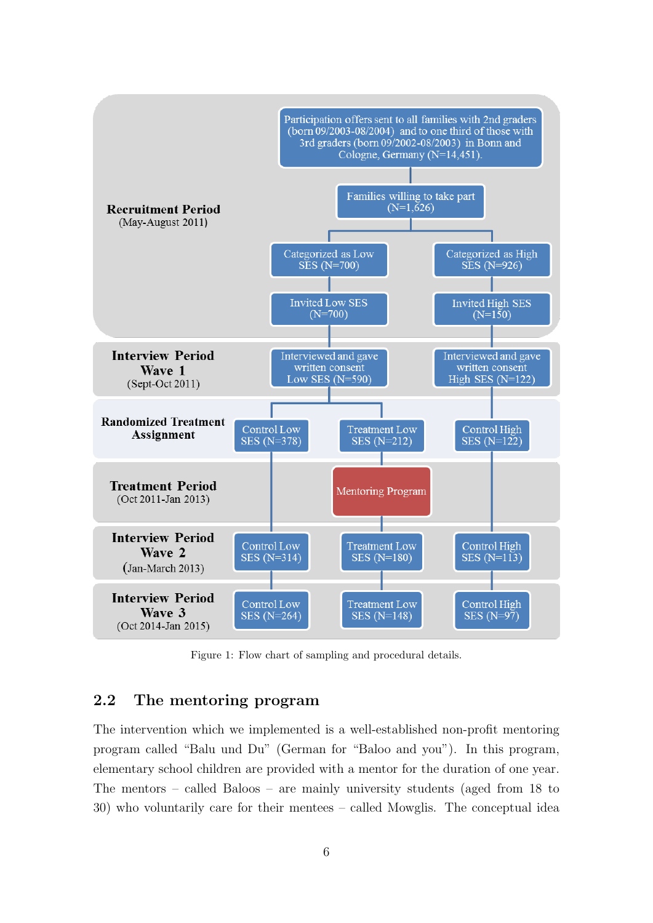

Figure 1: Flow chart of sampling and procedural details.

### 2.2 The mentoring program

The intervention which we implemented is a well-established non-profit mentoring program called "Balu und Du" (German for "Baloo and you"). In this program, elementary school children are provided with a mentor for the duration of one year. The mentors – called Baloos – are mainly university students (aged from 18 to 30) who voluntarily care for their mentees – called Mowglis. The conceptual idea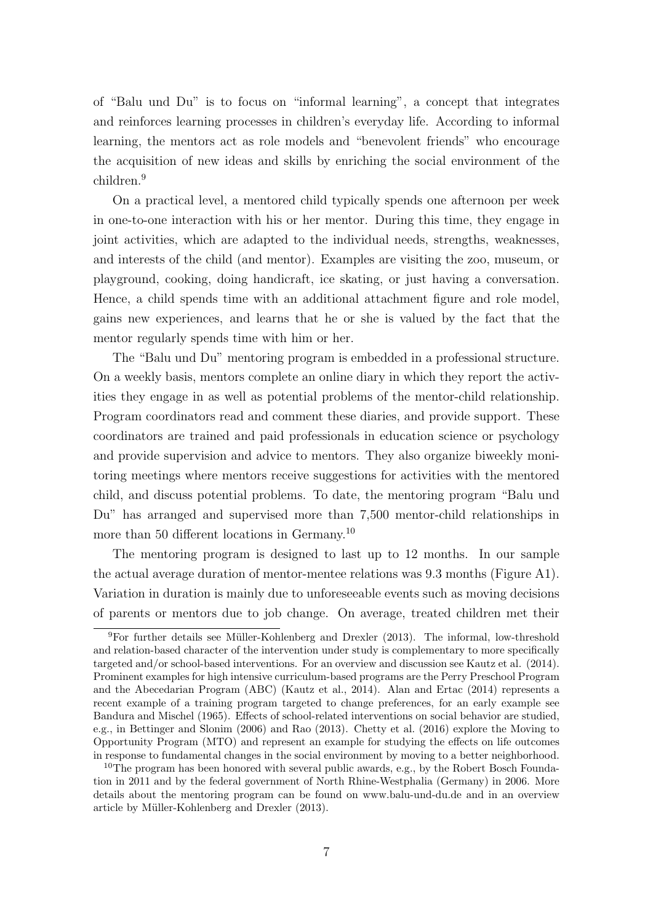of "Balu und Du" is to focus on "informal learning", a concept that integrates and reinforces learning processes in children's everyday life. According to informal learning, the mentors act as role models and "benevolent friends" who encourage the acquisition of new ideas and skills by enriching the social environment of the children.<sup>9</sup>

On a practical level, a mentored child typically spends one afternoon per week in one-to-one interaction with his or her mentor. During this time, they engage in joint activities, which are adapted to the individual needs, strengths, weaknesses, and interests of the child (and mentor). Examples are visiting the zoo, museum, or playground, cooking, doing handicraft, ice skating, or just having a conversation. Hence, a child spends time with an additional attachment figure and role model, gains new experiences, and learns that he or she is valued by the fact that the mentor regularly spends time with him or her.

The "Balu und Du" mentoring program is embedded in a professional structure. On a weekly basis, mentors complete an online diary in which they report the activities they engage in as well as potential problems of the mentor-child relationship. Program coordinators read and comment these diaries, and provide support. These coordinators are trained and paid professionals in education science or psychology and provide supervision and advice to mentors. They also organize biweekly monitoring meetings where mentors receive suggestions for activities with the mentored child, and discuss potential problems. To date, the mentoring program "Balu und Du" has arranged and supervised more than 7,500 mentor-child relationships in more than 50 different locations in Germany.<sup>10</sup>

The mentoring program is designed to last up to 12 months. In our sample the actual average duration of mentor-mentee relations was 9.3 months (Figure A1). Variation in duration is mainly due to unforeseeable events such as moving decisions of parents or mentors due to job change. On average, treated children met their

 $9$ For further details see Müller-Kohlenberg and Drexler (2013). The informal, low-threshold and relation-based character of the intervention under study is complementary to more specifically targeted and/or school-based interventions. For an overview and discussion see Kautz et al. (2014). Prominent examples for high intensive curriculum-based programs are the Perry Preschool Program and the Abecedarian Program (ABC) (Kautz et al., 2014). Alan and Ertac (2014) represents a recent example of a training program targeted to change preferences, for an early example see Bandura and Mischel (1965). Effects of school-related interventions on social behavior are studied, e.g., in Bettinger and Slonim (2006) and Rao (2013). Chetty et al. (2016) explore the Moving to Opportunity Program (MTO) and represent an example for studying the effects on life outcomes in response to fundamental changes in the social environment by moving to a better neighborhood.

<sup>&</sup>lt;sup>10</sup>The program has been honored with several public awards, e.g., by the Robert Bosch Foundation in 2011 and by the federal government of North Rhine-Westphalia (Germany) in 2006. More details about the mentoring program can be found on www.balu-und-du.de and in an overview article by Müller-Kohlenberg and Drexler (2013).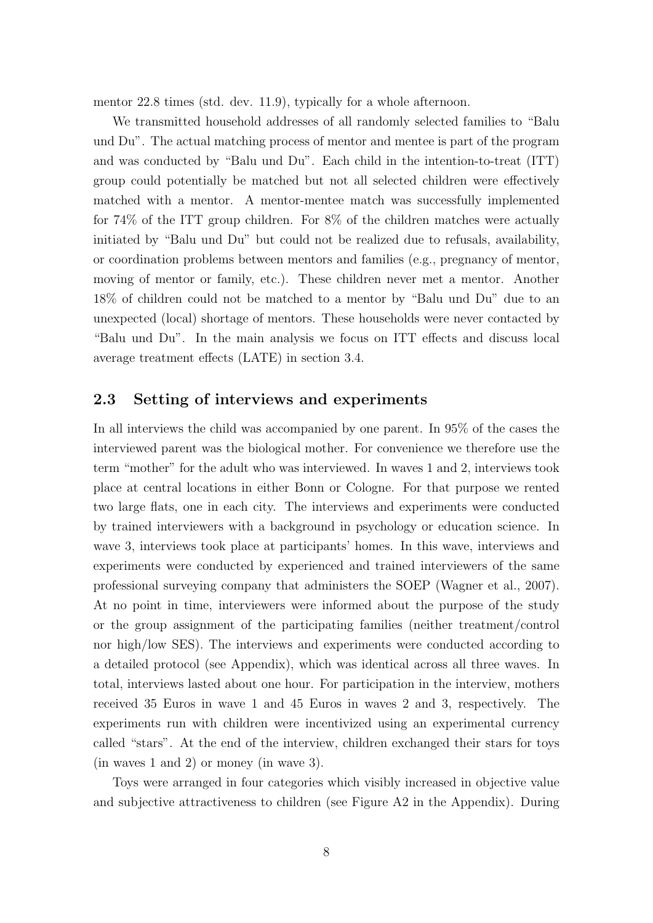mentor 22.8 times (std. dev. 11.9), typically for a whole afternoon.

We transmitted household addresses of all randomly selected families to "Balu und Du". The actual matching process of mentor and mentee is part of the program and was conducted by "Balu und Du". Each child in the intention-to-treat (ITT) group could potentially be matched but not all selected children were effectively matched with a mentor. A mentor-mentee match was successfully implemented for 74% of the ITT group children. For 8% of the children matches were actually initiated by "Balu und Du" but could not be realized due to refusals, availability, or coordination problems between mentors and families (e.g., pregnancy of mentor, moving of mentor or family, etc.). These children never met a mentor. Another 18% of children could not be matched to a mentor by "Balu und Du" due to an unexpected (local) shortage of mentors. These households were never contacted by "Balu und Du". In the main analysis we focus on ITT effects and discuss local average treatment effects (LATE) in section 3.4.

### 2.3 Setting of interviews and experiments

In all interviews the child was accompanied by one parent. In 95% of the cases the interviewed parent was the biological mother. For convenience we therefore use the term "mother" for the adult who was interviewed. In waves 1 and 2, interviews took place at central locations in either Bonn or Cologne. For that purpose we rented two large flats, one in each city. The interviews and experiments were conducted by trained interviewers with a background in psychology or education science. In wave 3, interviews took place at participants' homes. In this wave, interviews and experiments were conducted by experienced and trained interviewers of the same professional surveying company that administers the SOEP (Wagner et al., 2007). At no point in time, interviewers were informed about the purpose of the study or the group assignment of the participating families (neither treatment/control nor high/low SES). The interviews and experiments were conducted according to a detailed protocol (see Appendix), which was identical across all three waves. In total, interviews lasted about one hour. For participation in the interview, mothers received 35 Euros in wave 1 and 45 Euros in waves 2 and 3, respectively. The experiments run with children were incentivized using an experimental currency called "stars". At the end of the interview, children exchanged their stars for toys (in waves 1 and 2) or money (in wave 3).

Toys were arranged in four categories which visibly increased in objective value and subjective attractiveness to children (see Figure A2 in the Appendix). During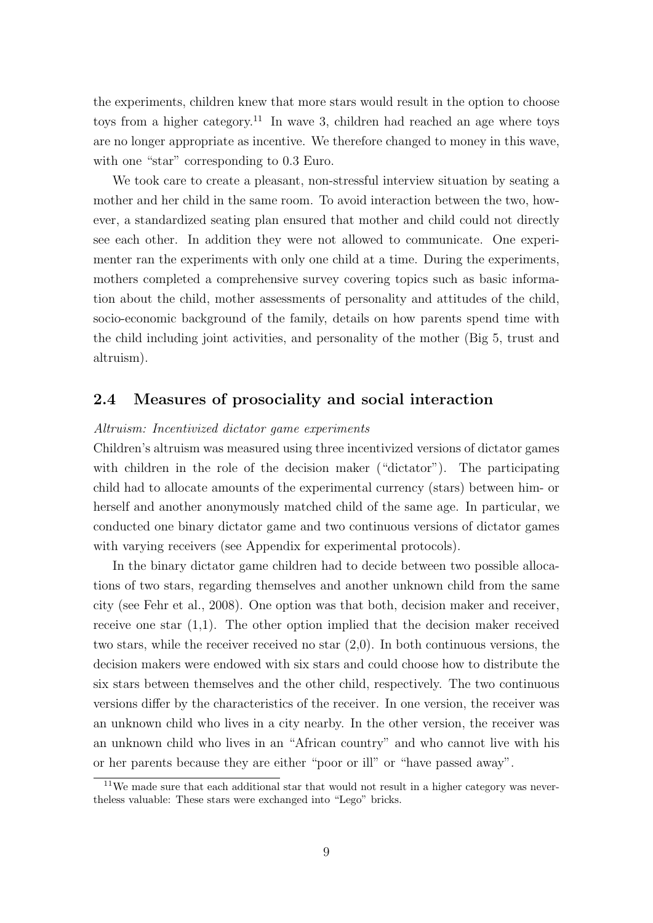the experiments, children knew that more stars would result in the option to choose toys from a higher category.<sup>11</sup> In wave 3, children had reached an age where toys are no longer appropriate as incentive. We therefore changed to money in this wave, with one "star" corresponding to 0.3 Euro.

We took care to create a pleasant, non-stressful interview situation by seating a mother and her child in the same room. To avoid interaction between the two, however, a standardized seating plan ensured that mother and child could not directly see each other. In addition they were not allowed to communicate. One experimenter ran the experiments with only one child at a time. During the experiments, mothers completed a comprehensive survey covering topics such as basic information about the child, mother assessments of personality and attitudes of the child, socio-economic background of the family, details on how parents spend time with the child including joint activities, and personality of the mother (Big 5, trust and altruism).

### 2.4 Measures of prosociality and social interaction

#### Altruism: Incentivized dictator game experiments

Children's altruism was measured using three incentivized versions of dictator games with children in the role of the decision maker ("dictator"). The participating child had to allocate amounts of the experimental currency (stars) between him- or herself and another anonymously matched child of the same age. In particular, we conducted one binary dictator game and two continuous versions of dictator games with varying receivers (see Appendix for experimental protocols).

In the binary dictator game children had to decide between two possible allocations of two stars, regarding themselves and another unknown child from the same city (see Fehr et al., 2008). One option was that both, decision maker and receiver, receive one star  $(1,1)$ . The other option implied that the decision maker received two stars, while the receiver received no star (2,0). In both continuous versions, the decision makers were endowed with six stars and could choose how to distribute the six stars between themselves and the other child, respectively. The two continuous versions differ by the characteristics of the receiver. In one version, the receiver was an unknown child who lives in a city nearby. In the other version, the receiver was an unknown child who lives in an "African country" and who cannot live with his or her parents because they are either "poor or ill" or "have passed away".

<sup>&</sup>lt;sup>11</sup>We made sure that each additional star that would not result in a higher category was nevertheless valuable: These stars were exchanged into "Lego" bricks.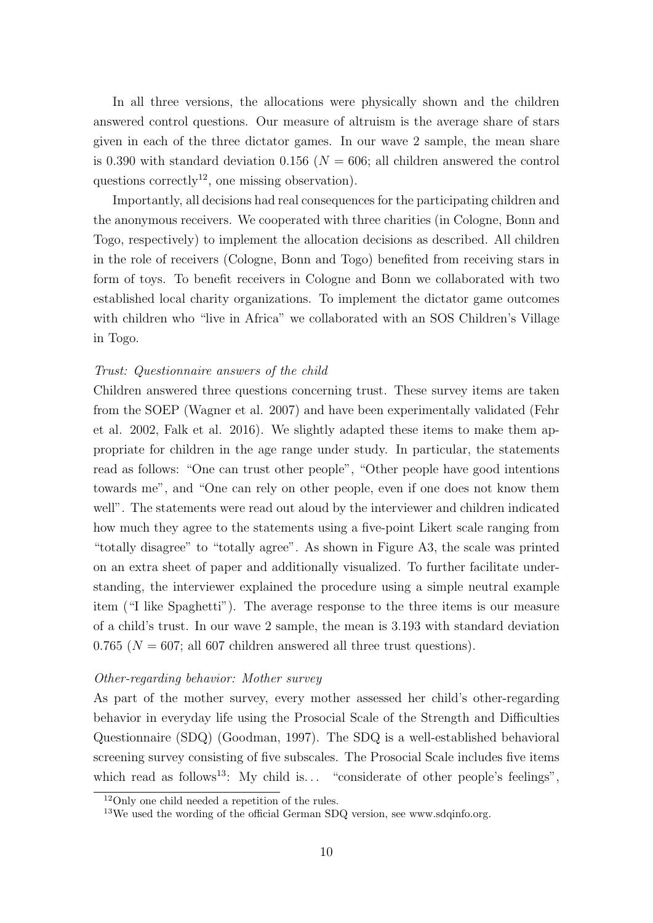In all three versions, the allocations were physically shown and the children answered control questions. Our measure of altruism is the average share of stars given in each of the three dictator games. In our wave 2 sample, the mean share is 0.390 with standard deviation 0.156 ( $N = 606$ ; all children answered the control questions correctly<sup>12</sup>, one missing observation).

Importantly, all decisions had real consequences for the participating children and the anonymous receivers. We cooperated with three charities (in Cologne, Bonn and Togo, respectively) to implement the allocation decisions as described. All children in the role of receivers (Cologne, Bonn and Togo) benefited from receiving stars in form of toys. To benefit receivers in Cologne and Bonn we collaborated with two established local charity organizations. To implement the dictator game outcomes with children who "live in Africa" we collaborated with an SOS Children's Village in Togo.

#### Trust: Questionnaire answers of the child

Children answered three questions concerning trust. These survey items are taken from the SOEP (Wagner et al. 2007) and have been experimentally validated (Fehr et al. 2002, Falk et al. 2016). We slightly adapted these items to make them appropriate for children in the age range under study. In particular, the statements read as follows: "One can trust other people", "Other people have good intentions towards me", and "One can rely on other people, even if one does not know them well". The statements were read out aloud by the interviewer and children indicated how much they agree to the statements using a five-point Likert scale ranging from "totally disagree" to "totally agree". As shown in Figure A3, the scale was printed on an extra sheet of paper and additionally visualized. To further facilitate understanding, the interviewer explained the procedure using a simple neutral example item ("I like Spaghetti"). The average response to the three items is our measure of a child's trust. In our wave 2 sample, the mean is 3.193 with standard deviation 0.765 ( $N = 607$ ; all 607 children answered all three trust questions).

#### Other-regarding behavior: Mother survey

As part of the mother survey, every mother assessed her child's other-regarding behavior in everyday life using the Prosocial Scale of the Strength and Difficulties Questionnaire (SDQ) (Goodman, 1997). The SDQ is a well-established behavioral screening survey consisting of five subscales. The Prosocial Scale includes five items which read as follows<sup>13</sup>: My child is... "considerate of other people's feelings",

<sup>12</sup>Only one child needed a repetition of the rules.

<sup>&</sup>lt;sup>13</sup>We used the wording of the official German SDQ version, see www.sdqinfo.org.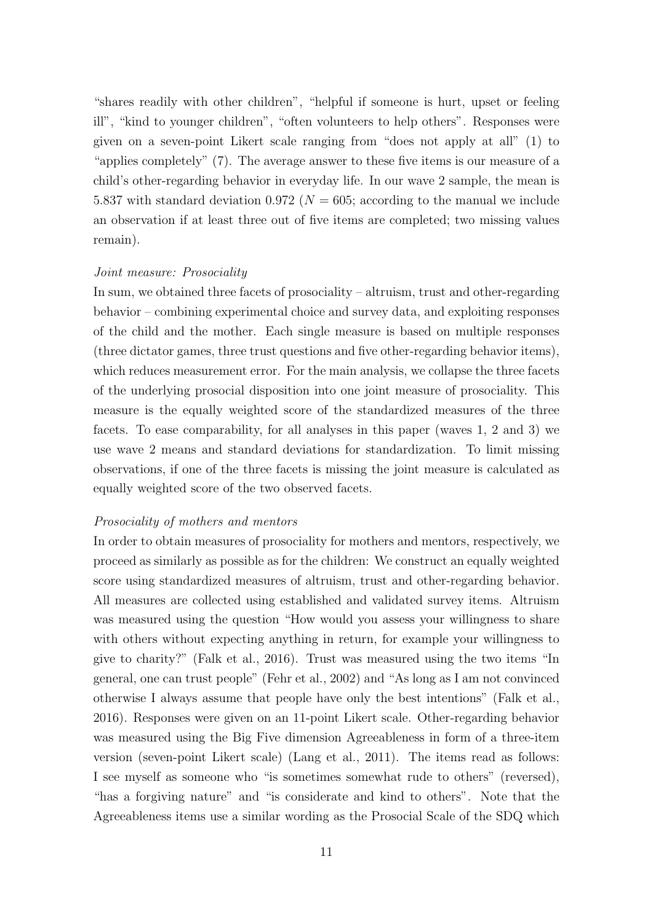"shares readily with other children", "helpful if someone is hurt, upset or feeling ill", "kind to younger children", "often volunteers to help others". Responses were given on a seven-point Likert scale ranging from "does not apply at all" (1) to "applies completely" (7). The average answer to these five items is our measure of a child's other-regarding behavior in everyday life. In our wave 2 sample, the mean is 5.837 with standard deviation 0.972 ( $N = 605$ ; according to the manual we include an observation if at least three out of five items are completed; two missing values remain).

#### Joint measure: Prosociality

In sum, we obtained three facets of prosociality – altruism, trust and other-regarding behavior – combining experimental choice and survey data, and exploiting responses of the child and the mother. Each single measure is based on multiple responses (three dictator games, three trust questions and five other-regarding behavior items), which reduces measurement error. For the main analysis, we collapse the three facets of the underlying prosocial disposition into one joint measure of prosociality. This measure is the equally weighted score of the standardized measures of the three facets. To ease comparability, for all analyses in this paper (waves 1, 2 and 3) we use wave 2 means and standard deviations for standardization. To limit missing observations, if one of the three facets is missing the joint measure is calculated as equally weighted score of the two observed facets.

#### Prosociality of mothers and mentors

In order to obtain measures of prosociality for mothers and mentors, respectively, we proceed as similarly as possible as for the children: We construct an equally weighted score using standardized measures of altruism, trust and other-regarding behavior. All measures are collected using established and validated survey items. Altruism was measured using the question "How would you assess your willingness to share with others without expecting anything in return, for example your willingness to give to charity?" (Falk et al., 2016). Trust was measured using the two items "In general, one can trust people" (Fehr et al., 2002) and "As long as I am not convinced otherwise I always assume that people have only the best intentions" (Falk et al., 2016). Responses were given on an 11-point Likert scale. Other-regarding behavior was measured using the Big Five dimension Agreeableness in form of a three-item version (seven-point Likert scale) (Lang et al., 2011). The items read as follows: I see myself as someone who "is sometimes somewhat rude to others" (reversed), "has a forgiving nature" and "is considerate and kind to others". Note that the Agreeableness items use a similar wording as the Prosocial Scale of the SDQ which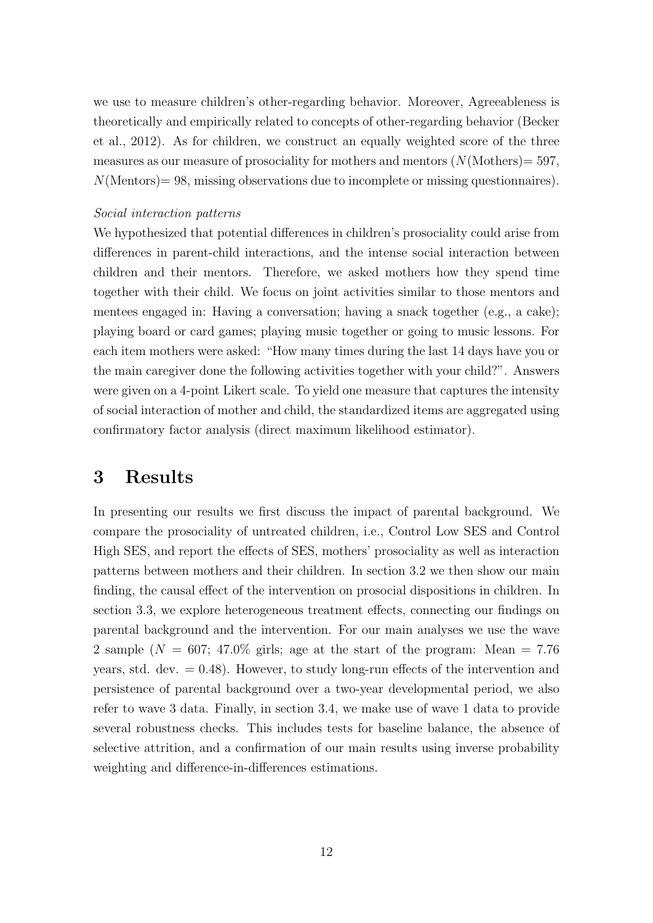we use to measure children's other-regarding behavior. Moreover, Agreeableness is theoretically and empirically related to concepts of other-regarding behavior (Becker et al., 2012). As for children, we construct an equally weighted score of the three measures as our measure of prosociality for mothers and mentors  $(N(\text{Mother}) = 597,$  $N(\text{Mentors}) = 98$ , missing observations due to incomplete or missing questionnaires).

#### Social interaction patterns

We hypothesized that potential differences in children's prosociality could arise from differences in parent-child interactions, and the intense social interaction between children and their mentors. Therefore, we asked mothers how they spend time together with their child. We focus on joint activities similar to those mentors and mentees engaged in: Having a conversation; having a snack together (e.g., a cake); playing board or card games; playing music together or going to music lessons. For each item mothers were asked: "How many times during the last 14 days have you or the main caregiver done the following activities together with your child?". Answers were given on a 4-point Likert scale. To yield one measure that captures the intensity of social interaction of mother and child, the standardized items are aggregated using confirmatory factor analysis (direct maximum likelihood estimator).

# 3 Results

In presenting our results we first discuss the impact of parental background. We compare the prosociality of untreated children, i.e., Control Low SES and Control High SES, and report the effects of SES, mothers' prosociality as well as interaction patterns between mothers and their children. In section 3.2 we then show our main finding, the causal effect of the intervention on prosocial dispositions in children. In section 3.3, we explore heterogeneous treatment effects, connecting our findings on parental background and the intervention. For our main analyses we use the wave 2 sample ( $N = 607$ ; 47.0% girls; age at the start of the program: Mean = 7.76 years, std. dev.  $= 0.48$ ). However, to study long-run effects of the intervention and persistence of parental background over a two-year developmental period, we also refer to wave 3 data. Finally, in section 3.4, we make use of wave 1 data to provide several robustness checks. This includes tests for baseline balance, the absence of selective attrition, and a confirmation of our main results using inverse probability weighting and difference-in-differences estimations.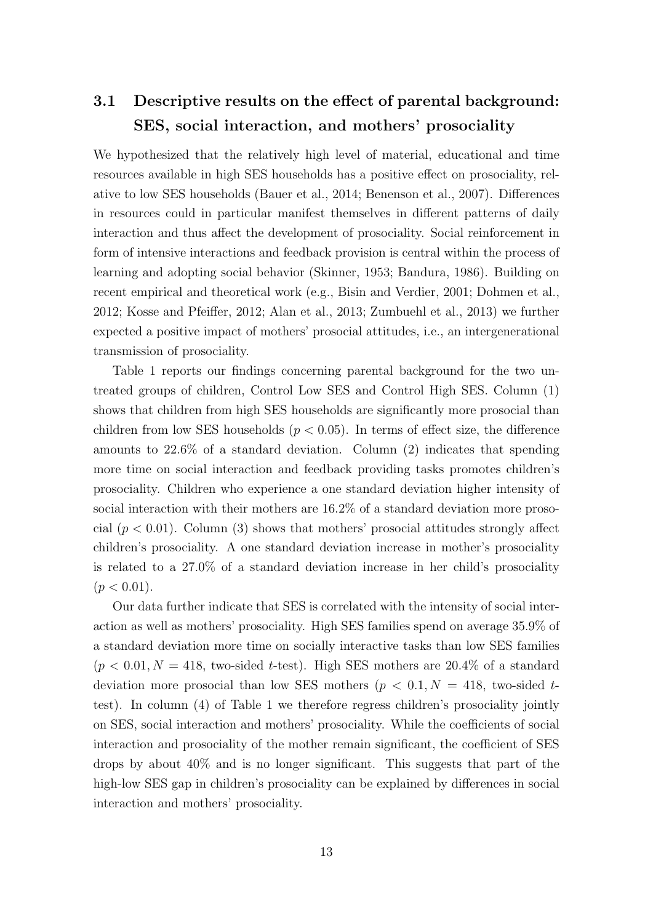# 3.1 Descriptive results on the effect of parental background: SES, social interaction, and mothers' prosociality

We hypothesized that the relatively high level of material, educational and time resources available in high SES households has a positive effect on prosociality, relative to low SES households (Bauer et al., 2014; Benenson et al., 2007). Differences in resources could in particular manifest themselves in different patterns of daily interaction and thus affect the development of prosociality. Social reinforcement in form of intensive interactions and feedback provision is central within the process of learning and adopting social behavior (Skinner, 1953; Bandura, 1986). Building on recent empirical and theoretical work (e.g., Bisin and Verdier, 2001; Dohmen et al., 2012; Kosse and Pfeiffer, 2012; Alan et al., 2013; Zumbuehl et al., 2013) we further expected a positive impact of mothers' prosocial attitudes, i.e., an intergenerational transmission of prosociality.

Table 1 reports our findings concerning parental background for the two untreated groups of children, Control Low SES and Control High SES. Column (1) shows that children from high SES households are significantly more prosocial than children from low SES households ( $p < 0.05$ ). In terms of effect size, the difference amounts to 22.6% of a standard deviation. Column (2) indicates that spending more time on social interaction and feedback providing tasks promotes children's prosociality. Children who experience a one standard deviation higher intensity of social interaction with their mothers are 16.2% of a standard deviation more prosocial  $(p < 0.01)$ . Column (3) shows that mothers' prosocial attitudes strongly affect children's prosociality. A one standard deviation increase in mother's prosociality is related to a 27.0% of a standard deviation increase in her child's prosociality  $(p < 0.01)$ .

Our data further indicate that SES is correlated with the intensity of social interaction as well as mothers' prosociality. High SES families spend on average 35.9% of a standard deviation more time on socially interactive tasks than low SES families  $(p < 0.01, N = 418,$  two-sided t-test). High SES mothers are 20.4\% of a standard deviation more prosocial than low SES mothers ( $p < 0.1, N = 418$ , two-sided ttest). In column (4) of Table 1 we therefore regress children's prosociality jointly on SES, social interaction and mothers' prosociality. While the coefficients of social interaction and prosociality of the mother remain significant, the coefficient of SES drops by about 40% and is no longer significant. This suggests that part of the high-low SES gap in children's prosociality can be explained by differences in social interaction and mothers' prosociality.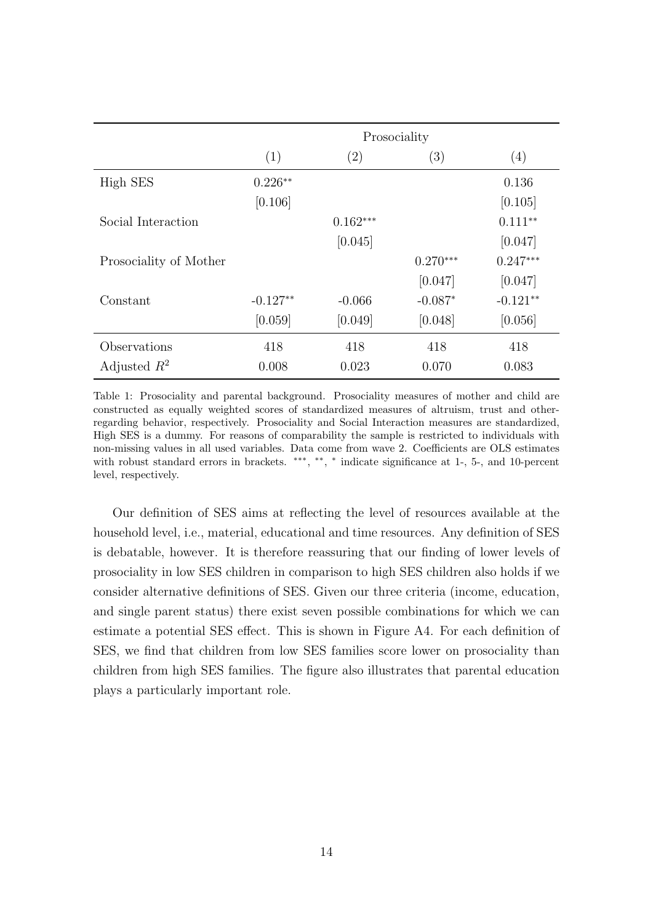|                        | Prosociality |            |            |            |
|------------------------|--------------|------------|------------|------------|
|                        | (1)          | (2)        | (3)        | (4)        |
| High SES               | $0.226**$    |            |            | 0.136      |
|                        | [0.106]      |            |            | [0.105]    |
| Social Interaction     |              | $0.162***$ |            | $0.111**$  |
|                        |              | [0.045]    |            | [0.047]    |
| Prosociality of Mother |              |            | $0.270***$ | $0.247***$ |
|                        |              |            | [0.047]    | [0.047]    |
| Constant               | $-0.127**$   | $-0.066$   | $-0.087*$  | $-0.121**$ |
|                        | [0.059]      | [0.049]    | [0.048]    | [0.056]    |
| Observations           | 418          | 418        | 418        | 418        |
| Adjusted $R^2$         | 0.008        | 0.023      | 0.070      | 0.083      |

Table 1: Prosociality and parental background. Prosociality measures of mother and child are constructed as equally weighted scores of standardized measures of altruism, trust and otherregarding behavior, respectively. Prosociality and Social Interaction measures are standardized, High SES is a dummy. For reasons of comparability the sample is restricted to individuals with non-missing values in all used variables. Data come from wave 2. Coefficients are OLS estimates with robust standard errors in brackets. \*\*\*, \*\*, \* indicate significance at 1-, 5-, and 10-percent level, respectively.

Our definition of SES aims at reflecting the level of resources available at the household level, i.e., material, educational and time resources. Any definition of SES is debatable, however. It is therefore reassuring that our finding of lower levels of prosociality in low SES children in comparison to high SES children also holds if we consider alternative definitions of SES. Given our three criteria (income, education, and single parent status) there exist seven possible combinations for which we can estimate a potential SES effect. This is shown in Figure A4. For each definition of SES, we find that children from low SES families score lower on prosociality than children from high SES families. The figure also illustrates that parental education plays a particularly important role.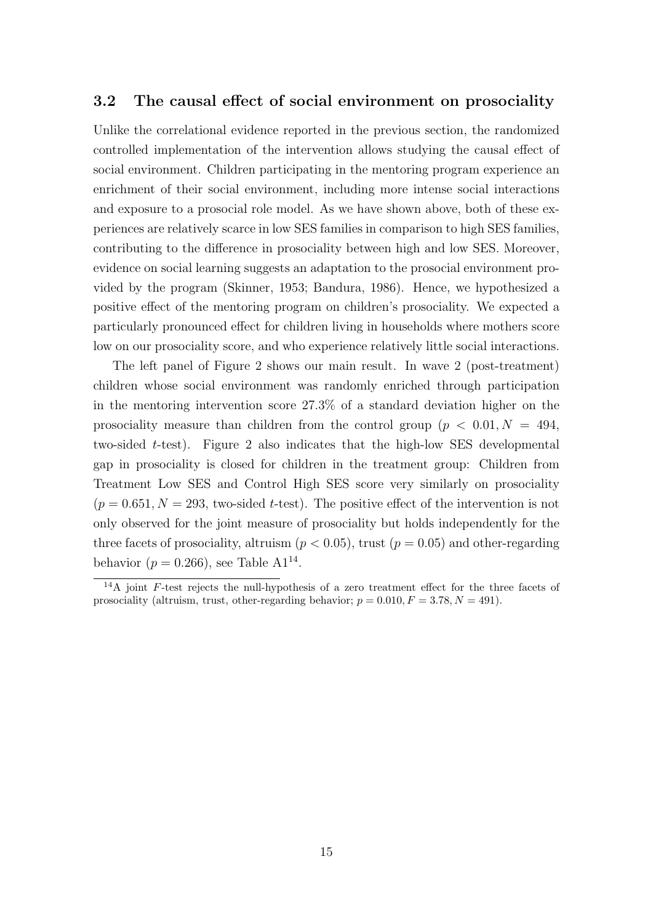### 3.2 The causal effect of social environment on prosociality

Unlike the correlational evidence reported in the previous section, the randomized controlled implementation of the intervention allows studying the causal effect of social environment. Children participating in the mentoring program experience an enrichment of their social environment, including more intense social interactions and exposure to a prosocial role model. As we have shown above, both of these experiences are relatively scarce in low SES families in comparison to high SES families, contributing to the difference in prosociality between high and low SES. Moreover, evidence on social learning suggests an adaptation to the prosocial environment provided by the program (Skinner, 1953; Bandura, 1986). Hence, we hypothesized a positive effect of the mentoring program on children's prosociality. We expected a particularly pronounced effect for children living in households where mothers score low on our prosociality score, and who experience relatively little social interactions.

The left panel of Figure 2 shows our main result. In wave 2 (post-treatment) children whose social environment was randomly enriched through participation in the mentoring intervention score 27.3% of a standard deviation higher on the prosociality measure than children from the control group ( $p < 0.01, N = 494$ , two-sided t-test). Figure 2 also indicates that the high-low SES developmental gap in prosociality is closed for children in the treatment group: Children from Treatment Low SES and Control High SES score very similarly on prosociality  $(p = 0.651, N = 293,$  two-sided t-test). The positive effect of the intervention is not only observed for the joint measure of prosociality but holds independently for the three facets of prosociality, altruism ( $p < 0.05$ ), trust ( $p = 0.05$ ) and other-regarding behavior ( $p = 0.266$ ), see Table A1<sup>14</sup>.

 $14A$  joint F-test rejects the null-hypothesis of a zero treatment effect for the three facets of prosociality (altruism, trust, other-regarding behavior;  $p = 0.010, F = 3.78, N = 491$ ).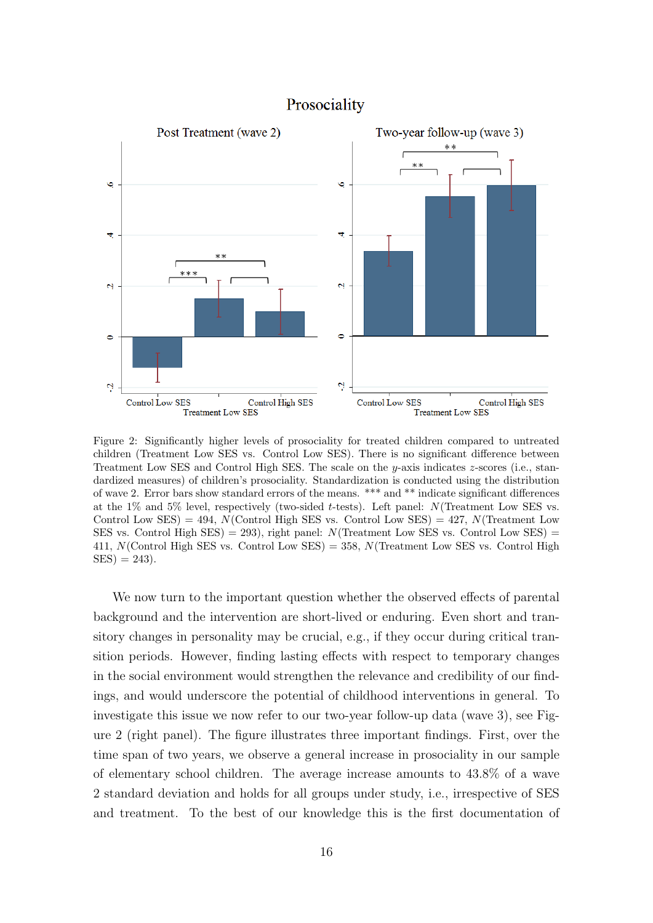

### Prosociality

Figure 2: Significantly higher levels of prosociality for treated children compared to untreated children (Treatment Low SES vs. Control Low SES). There is no significant difference between Treatment Low SES and Control High SES. The scale on the  $y$ -axis indicates  $z$ -scores (i.e., standardized measures) of children's prosociality. Standardization is conducted using the distribution of wave 2. Error bars show standard errors of the means. \*\*\* and \*\* indicate significant differences at the  $1\%$  and  $5\%$  level, respectively (two-sided t-tests). Left panel: N(Treatment Low SES vs. Control Low SES) = 494,  $N$ (Control High SES vs. Control Low SES) = 427,  $N$ (Treatment Low SES vs. Control High SES) = 293), right panel:  $N$ (Treatment Low SES vs. Control Low SES) = 411,  $N$ (Control High SES vs. Control Low SES) = 358,  $N$ (Treatment Low SES vs. Control High  $SES = 243$ .

We now turn to the important question whether the observed effects of parental background and the intervention are short-lived or enduring. Even short and transitory changes in personality may be crucial, e.g., if they occur during critical transition periods. However, finding lasting effects with respect to temporary changes in the social environment would strengthen the relevance and credibility of our findings, and would underscore the potential of childhood interventions in general. To investigate this issue we now refer to our two-year follow-up data (wave 3), see Figure 2 (right panel). The figure illustrates three important findings. First, over the time span of two years, we observe a general increase in prosociality in our sample of elementary school children. The average increase amounts to 43.8% of a wave 2 standard deviation and holds for all groups under study, i.e., irrespective of SES and treatment. To the best of our knowledge this is the first documentation of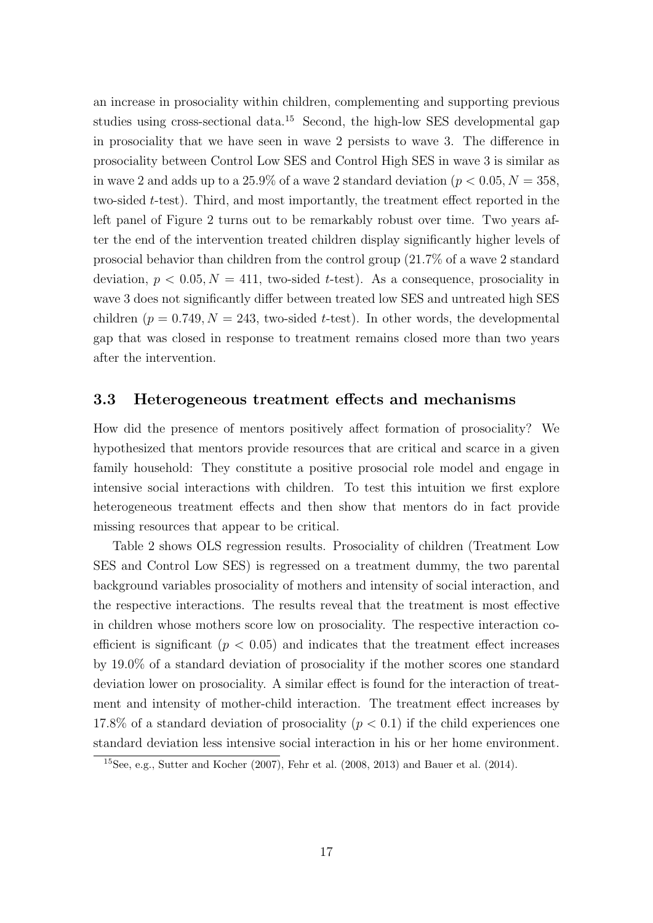an increase in prosociality within children, complementing and supporting previous studies using cross-sectional data.<sup>15</sup> Second, the high-low SES developmental gap in prosociality that we have seen in wave 2 persists to wave 3. The difference in prosociality between Control Low SES and Control High SES in wave 3 is similar as in wave 2 and adds up to a 25.9% of a wave 2 standard deviation ( $p < 0.05, N = 358$ , two-sided t-test). Third, and most importantly, the treatment effect reported in the left panel of Figure 2 turns out to be remarkably robust over time. Two years after the end of the intervention treated children display significantly higher levels of prosocial behavior than children from the control group (21.7% of a wave 2 standard deviation,  $p < 0.05, N = 411$ , two-sided t-test). As a consequence, prosociality in wave 3 does not significantly differ between treated low SES and untreated high SES children ( $p = 0.749, N = 243$ , two-sided t-test). In other words, the developmental gap that was closed in response to treatment remains closed more than two years after the intervention.

#### 3.3 Heterogeneous treatment effects and mechanisms

How did the presence of mentors positively affect formation of prosociality? We hypothesized that mentors provide resources that are critical and scarce in a given family household: They constitute a positive prosocial role model and engage in intensive social interactions with children. To test this intuition we first explore heterogeneous treatment effects and then show that mentors do in fact provide missing resources that appear to be critical.

Table 2 shows OLS regression results. Prosociality of children (Treatment Low SES and Control Low SES) is regressed on a treatment dummy, the two parental background variables prosociality of mothers and intensity of social interaction, and the respective interactions. The results reveal that the treatment is most effective in children whose mothers score low on prosociality. The respective interaction coefficient is significant ( $p < 0.05$ ) and indicates that the treatment effect increases by 19.0% of a standard deviation of prosociality if the mother scores one standard deviation lower on prosociality. A similar effect is found for the interaction of treatment and intensity of mother-child interaction. The treatment effect increases by 17.8% of a standard deviation of prosociality  $(p < 0.1)$  if the child experiences one standard deviation less intensive social interaction in his or her home environment.

<sup>&</sup>lt;sup>15</sup>See, e.g., Sutter and Kocher (2007), Fehr et al. (2008, 2013) and Bauer et al. (2014).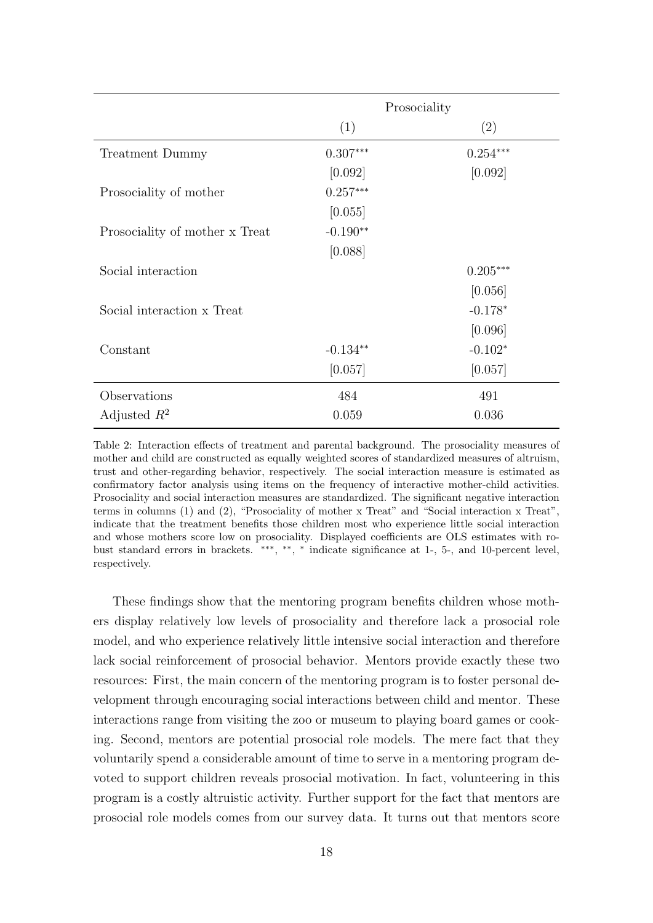|                                | Prosociality |            |
|--------------------------------|--------------|------------|
|                                | (1)          | (2)        |
| Treatment Dummy                | $0.307***$   | $0.254***$ |
|                                | [0.092]      | [0.092]    |
| Prosociality of mother         | $0.257***$   |            |
|                                | [0.055]      |            |
| Prosociality of mother x Treat | $-0.190**$   |            |
|                                | [0.088]      |            |
| Social interaction             |              | $0.205***$ |
|                                |              | [0.056]    |
| Social interaction x Treat     |              | $-0.178*$  |
|                                |              | [0.096]    |
| Constant                       | $-0.134**$   | $-0.102*$  |
|                                | [0.057]      | [0.057]    |
| Observations                   | 484          | 491        |
| Adjusted $R^2$                 | 0.059        | 0.036      |

Table 2: Interaction effects of treatment and parental background. The prosociality measures of mother and child are constructed as equally weighted scores of standardized measures of altruism, trust and other-regarding behavior, respectively. The social interaction measure is estimated as confirmatory factor analysis using items on the frequency of interactive mother-child activities. Prosociality and social interaction measures are standardized. The significant negative interaction terms in columns (1) and (2), "Prosociality of mother x Treat" and "Social interaction x Treat", indicate that the treatment benefits those children most who experience little social interaction and whose mothers score low on prosociality. Displayed coefficients are OLS estimates with robust standard errors in brackets. \*\*\*, \*\*, \* indicate significance at 1-, 5-, and 10-percent level, respectively.

These findings show that the mentoring program benefits children whose mothers display relatively low levels of prosociality and therefore lack a prosocial role model, and who experience relatively little intensive social interaction and therefore lack social reinforcement of prosocial behavior. Mentors provide exactly these two resources: First, the main concern of the mentoring program is to foster personal development through encouraging social interactions between child and mentor. These interactions range from visiting the zoo or museum to playing board games or cooking. Second, mentors are potential prosocial role models. The mere fact that they voluntarily spend a considerable amount of time to serve in a mentoring program devoted to support children reveals prosocial motivation. In fact, volunteering in this program is a costly altruistic activity. Further support for the fact that mentors are prosocial role models comes from our survey data. It turns out that mentors score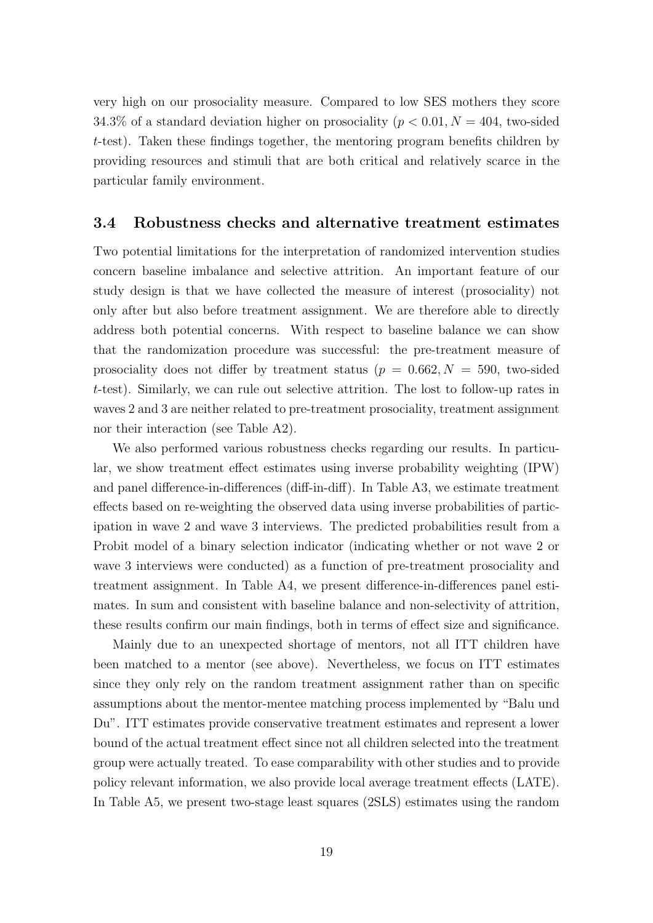very high on our prosociality measure. Compared to low SES mothers they score 34.3% of a standard deviation higher on prosociality ( $p < 0.01, N = 404$ , two-sided t-test). Taken these findings together, the mentoring program benefits children by providing resources and stimuli that are both critical and relatively scarce in the particular family environment.

### 3.4 Robustness checks and alternative treatment estimates

Two potential limitations for the interpretation of randomized intervention studies concern baseline imbalance and selective attrition. An important feature of our study design is that we have collected the measure of interest (prosociality) not only after but also before treatment assignment. We are therefore able to directly address both potential concerns. With respect to baseline balance we can show that the randomization procedure was successful: the pre-treatment measure of prosociality does not differ by treatment status ( $p = 0.662, N = 590$ , two-sided t-test). Similarly, we can rule out selective attrition. The lost to follow-up rates in waves 2 and 3 are neither related to pre-treatment prosociality, treatment assignment nor their interaction (see Table A2).

We also performed various robustness checks regarding our results. In particular, we show treatment effect estimates using inverse probability weighting (IPW) and panel difference-in-differences (diff-in-diff). In Table A3, we estimate treatment effects based on re-weighting the observed data using inverse probabilities of participation in wave 2 and wave 3 interviews. The predicted probabilities result from a Probit model of a binary selection indicator (indicating whether or not wave 2 or wave 3 interviews were conducted) as a function of pre-treatment prosociality and treatment assignment. In Table A4, we present difference-in-differences panel estimates. In sum and consistent with baseline balance and non-selectivity of attrition, these results confirm our main findings, both in terms of effect size and significance.

Mainly due to an unexpected shortage of mentors, not all ITT children have been matched to a mentor (see above). Nevertheless, we focus on ITT estimates since they only rely on the random treatment assignment rather than on specific assumptions about the mentor-mentee matching process implemented by "Balu und Du". ITT estimates provide conservative treatment estimates and represent a lower bound of the actual treatment effect since not all children selected into the treatment group were actually treated. To ease comparability with other studies and to provide policy relevant information, we also provide local average treatment effects (LATE). In Table A5, we present two-stage least squares (2SLS) estimates using the random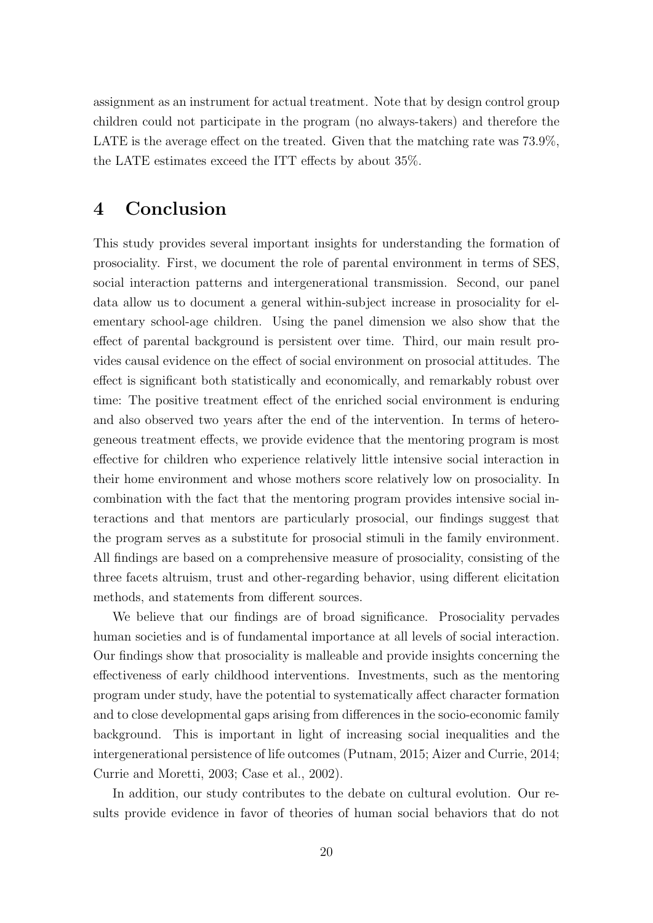assignment as an instrument for actual treatment. Note that by design control group children could not participate in the program (no always-takers) and therefore the LATE is the average effect on the treated. Given that the matching rate was  $73.9\%$ , the LATE estimates exceed the ITT effects by about 35%.

# 4 Conclusion

This study provides several important insights for understanding the formation of prosociality. First, we document the role of parental environment in terms of SES, social interaction patterns and intergenerational transmission. Second, our panel data allow us to document a general within-subject increase in prosociality for elementary school-age children. Using the panel dimension we also show that the effect of parental background is persistent over time. Third, our main result provides causal evidence on the effect of social environment on prosocial attitudes. The effect is significant both statistically and economically, and remarkably robust over time: The positive treatment effect of the enriched social environment is enduring and also observed two years after the end of the intervention. In terms of heterogeneous treatment effects, we provide evidence that the mentoring program is most effective for children who experience relatively little intensive social interaction in their home environment and whose mothers score relatively low on prosociality. In combination with the fact that the mentoring program provides intensive social interactions and that mentors are particularly prosocial, our findings suggest that the program serves as a substitute for prosocial stimuli in the family environment. All findings are based on a comprehensive measure of prosociality, consisting of the three facets altruism, trust and other-regarding behavior, using different elicitation methods, and statements from different sources.

We believe that our findings are of broad significance. Prosociality pervades human societies and is of fundamental importance at all levels of social interaction. Our findings show that prosociality is malleable and provide insights concerning the effectiveness of early childhood interventions. Investments, such as the mentoring program under study, have the potential to systematically affect character formation and to close developmental gaps arising from differences in the socio-economic family background. This is important in light of increasing social inequalities and the intergenerational persistence of life outcomes (Putnam, 2015; Aizer and Currie, 2014; Currie and Moretti, 2003; Case et al., 2002).

In addition, our study contributes to the debate on cultural evolution. Our results provide evidence in favor of theories of human social behaviors that do not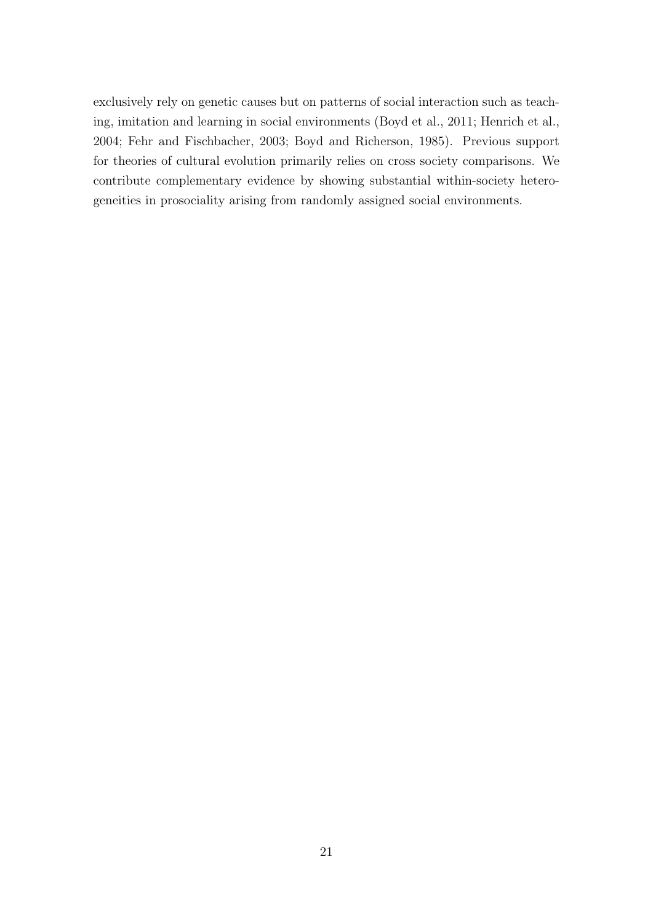exclusively rely on genetic causes but on patterns of social interaction such as teaching, imitation and learning in social environments (Boyd et al., 2011; Henrich et al., 2004; Fehr and Fischbacher, 2003; Boyd and Richerson, 1985). Previous support for theories of cultural evolution primarily relies on cross society comparisons. We contribute complementary evidence by showing substantial within-society heterogeneities in prosociality arising from randomly assigned social environments.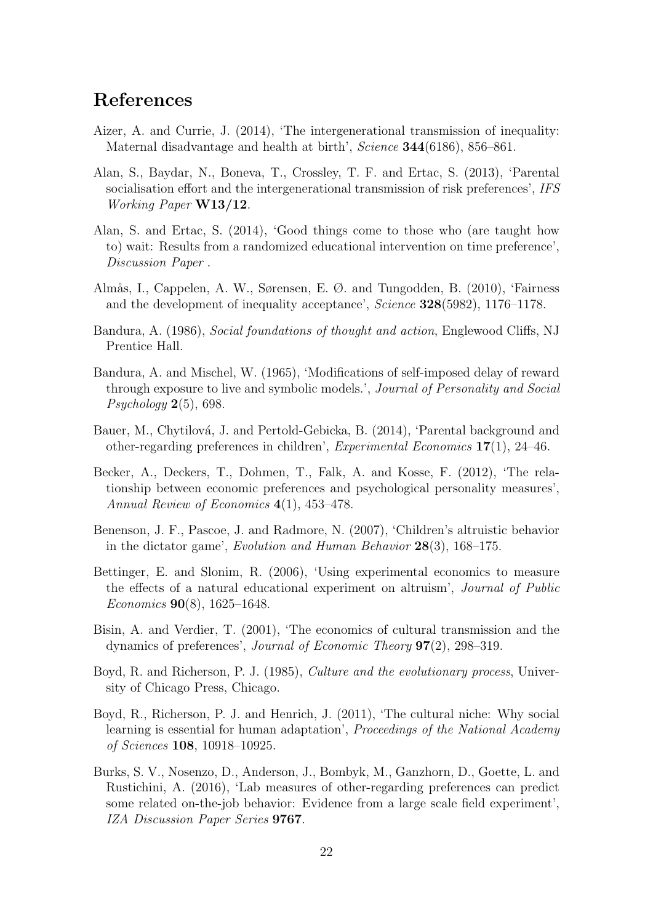## References

- Aizer, A. and Currie, J. (2014), 'The intergenerational transmission of inequality: Maternal disadvantage and health at birth', Science **344**(6186), 856–861.
- Alan, S., Baydar, N., Boneva, T., Crossley, T. F. and Ertac, S. (2013), 'Parental socialisation effort and the intergenerational transmission of risk preferences', IFS Working Paper W13/12.
- Alan, S. and Ertac, S. (2014), 'Good things come to those who (are taught how to) wait: Results from a randomized educational intervention on time preference', Discussion Paper .
- Almås, I., Cappelen, A. W., Sørensen, E. Ø. and Tungodden, B. (2010), 'Fairness and the development of inequality acceptance', Science 328(5982), 1176–1178.
- Bandura, A. (1986), Social foundations of thought and action, Englewood Cliffs, NJ Prentice Hall.
- Bandura, A. and Mischel, W. (1965), 'Modifications of self-imposed delay of reward through exposure to live and symbolic models.', Journal of Personality and Social  $Psychology 2(5), 698.$
- Bauer, M., Chytilová, J. and Pertold-Gebicka, B. (2014), 'Parental background and other-regarding preferences in children', Experimental Economics 17(1), 24–46.
- Becker, A., Deckers, T., Dohmen, T., Falk, A. and Kosse, F. (2012), 'The relationship between economic preferences and psychological personality measures', Annual Review of Economics 4(1), 453–478.
- Benenson, J. F., Pascoe, J. and Radmore, N. (2007), 'Children's altruistic behavior in the dictator game', Evolution and Human Behavior 28(3), 168–175.
- Bettinger, E. and Slonim, R. (2006), 'Using experimental economics to measure the effects of a natural educational experiment on altruism', Journal of Public Economics 90(8), 1625–1648.
- Bisin, A. and Verdier, T. (2001), 'The economics of cultural transmission and the dynamics of preferences', Journal of Economic Theory 97(2), 298–319.
- Boyd, R. and Richerson, P. J. (1985), Culture and the evolutionary process, University of Chicago Press, Chicago.
- Boyd, R., Richerson, P. J. and Henrich, J. (2011), 'The cultural niche: Why social learning is essential for human adaptation', Proceedings of the National Academy of Sciences 108, 10918–10925.
- Burks, S. V., Nosenzo, D., Anderson, J., Bombyk, M., Ganzhorn, D., Goette, L. and Rustichini, A. (2016), 'Lab measures of other-regarding preferences can predict some related on-the-job behavior: Evidence from a large scale field experiment', IZA Discussion Paper Series 9767.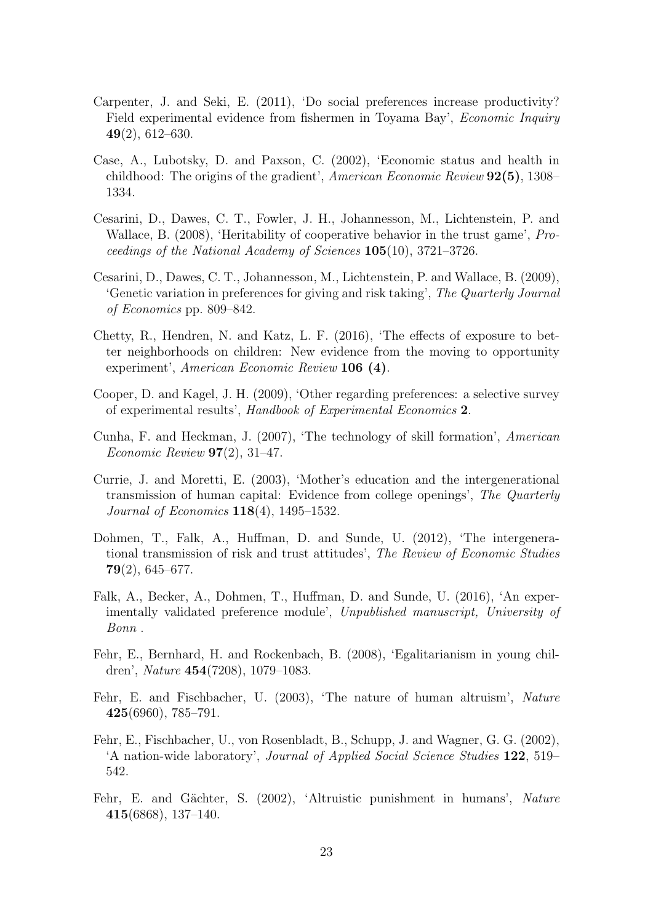- Carpenter, J. and Seki, E. (2011), 'Do social preferences increase productivity? Field experimental evidence from fishermen in Toyama Bay', *Economic Inquiry* 49(2), 612–630.
- Case, A., Lubotsky, D. and Paxson, C. (2002), 'Economic status and health in childhood: The origins of the gradient', American Economic Review 92(5), 1308– 1334.
- Cesarini, D., Dawes, C. T., Fowler, J. H., Johannesson, M., Lichtenstein, P. and Wallace, B. (2008), 'Heritability of cooperative behavior in the trust game', Proceedings of the National Academy of Sciences 105(10), 3721–3726.
- Cesarini, D., Dawes, C. T., Johannesson, M., Lichtenstein, P. and Wallace, B. (2009), 'Genetic variation in preferences for giving and risk taking', The Quarterly Journal of Economics pp. 809–842.
- Chetty, R., Hendren, N. and Katz, L. F. (2016), 'The effects of exposure to better neighborhoods on children: New evidence from the moving to opportunity experiment', American Economic Review 106 (4).
- Cooper, D. and Kagel, J. H. (2009), 'Other regarding preferences: a selective survey of experimental results', Handbook of Experimental Economics 2.
- Cunha, F. and Heckman, J. (2007), 'The technology of skill formation', American Economic Review  $97(2)$ , 31-47.
- Currie, J. and Moretti, E. (2003), 'Mother's education and the intergenerational transmission of human capital: Evidence from college openings', The Quarterly Journal of Economics 118(4), 1495–1532.
- Dohmen, T., Falk, A., Huffman, D. and Sunde, U. (2012), 'The intergenerational transmission of risk and trust attitudes', The Review of Economic Studies  $79(2)$ , 645–677.
- Falk, A., Becker, A., Dohmen, T., Huffman, D. and Sunde, U. (2016), 'An experimentally validated preference module', Unpublished manuscript, University of Bonn .
- Fehr, E., Bernhard, H. and Rockenbach, B. (2008), 'Egalitarianism in young children', Nature 454(7208), 1079–1083.
- Fehr, E. and Fischbacher, U. (2003), 'The nature of human altruism', Nature 425(6960), 785–791.
- Fehr, E., Fischbacher, U., von Rosenbladt, B., Schupp, J. and Wagner, G. G. (2002), 'A nation-wide laboratory', Journal of Applied Social Science Studies 122, 519– 542.
- Fehr, E. and Gächter, S. (2002), 'Altruistic punishment in humans', Nature 415(6868), 137–140.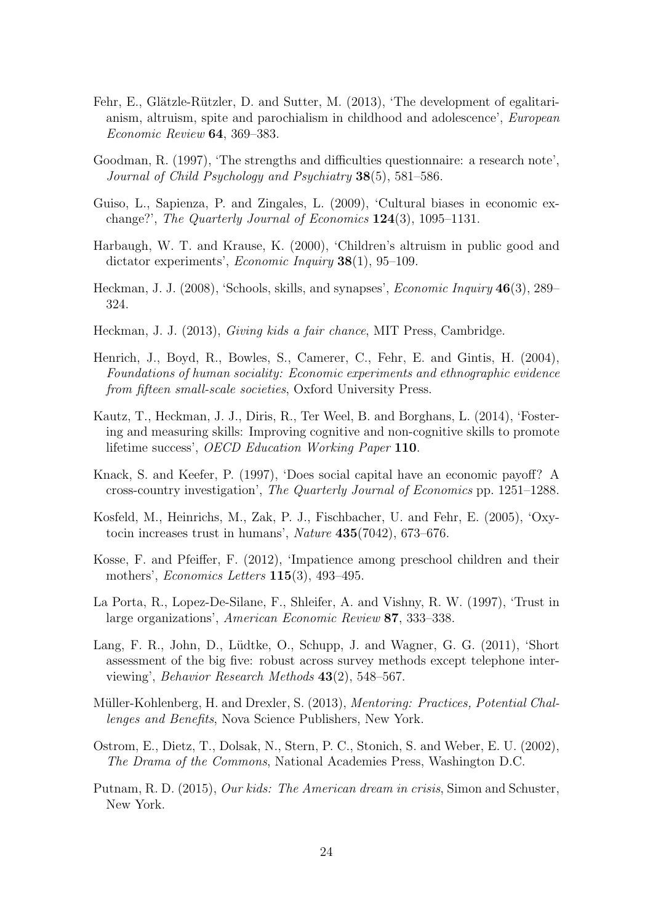- Fehr, E., Glätzle-Rützler, D. and Sutter, M. (2013), 'The development of egalitarianism, altruism, spite and parochialism in childhood and adolescence', European Economic Review 64, 369–383.
- Goodman, R. (1997), 'The strengths and difficulties questionnaire: a research note', Journal of Child Psychology and Psychiatry 38(5), 581–586.
- Guiso, L., Sapienza, P. and Zingales, L. (2009), 'Cultural biases in economic exchange?', The Quarterly Journal of Economics  $124(3)$ , 1095–1131.
- Harbaugh, W. T. and Krause, K. (2000), 'Children's altruism in public good and dictator experiments', *Economic Inquiry* **38**(1), 95–109.
- Heckman, J. J. (2008), 'Schools, skills, and synapses', *Economic Inquiry* 46(3), 289– 324.
- Heckman, J. J. (2013), Giving kids a fair chance, MIT Press, Cambridge.
- Henrich, J., Boyd, R., Bowles, S., Camerer, C., Fehr, E. and Gintis, H. (2004), Foundations of human sociality: Economic experiments and ethnographic evidence from fifteen small-scale societies, Oxford University Press.
- Kautz, T., Heckman, J. J., Diris, R., Ter Weel, B. and Borghans, L. (2014), 'Fostering and measuring skills: Improving cognitive and non-cognitive skills to promote lifetime success', OECD Education Working Paper 110.
- Knack, S. and Keefer, P. (1997), 'Does social capital have an economic payoff? A cross-country investigation', The Quarterly Journal of Economics pp. 1251–1288.
- Kosfeld, M., Heinrichs, M., Zak, P. J., Fischbacher, U. and Fehr, E. (2005), 'Oxytocin increases trust in humans', Nature 435(7042), 673–676.
- Kosse, F. and Pfeiffer, F. (2012), 'Impatience among preschool children and their mothers', Economics Letters 115(3), 493–495.
- La Porta, R., Lopez-De-Silane, F., Shleifer, A. and Vishny, R. W. (1997), 'Trust in large organizations', American Economic Review 87, 333–338.
- Lang, F. R., John, D., Lüdtke, O., Schupp, J. and Wagner, G. G. (2011), 'Short assessment of the big five: robust across survey methods except telephone interviewing', Behavior Research Methods 43(2), 548–567.
- Müller-Kohlenberg, H. and Drexler, S. (2013), *Mentoring: Practices, Potential Chal*lenges and Benefits, Nova Science Publishers, New York.
- Ostrom, E., Dietz, T., Dolsak, N., Stern, P. C., Stonich, S. and Weber, E. U. (2002), The Drama of the Commons, National Academies Press, Washington D.C.
- Putnam, R. D. (2015), *Our kids: The American dream in crisis*, Simon and Schuster, New York.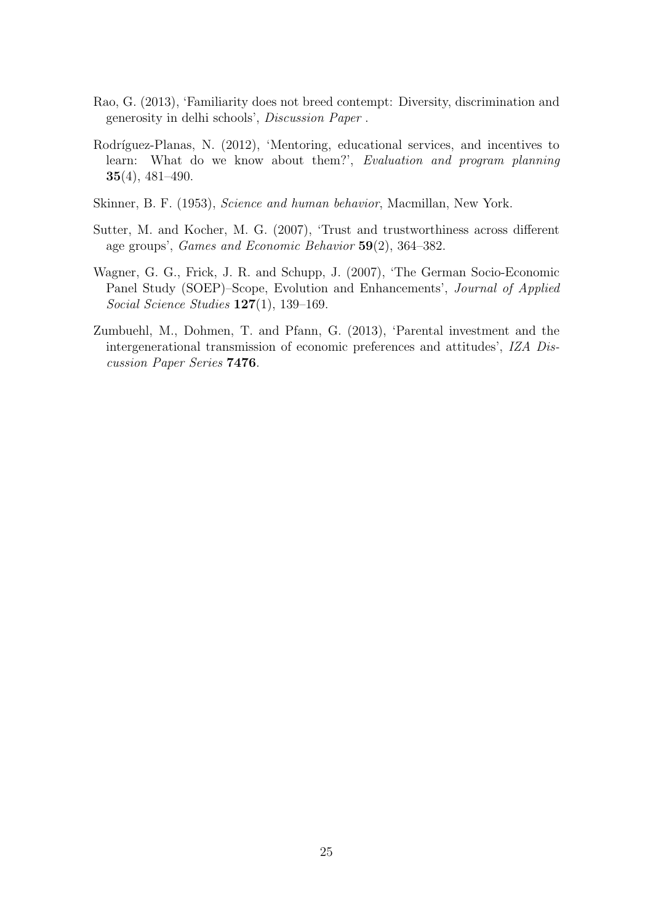- Rao, G. (2013), 'Familiarity does not breed contempt: Diversity, discrimination and generosity in delhi schools', Discussion Paper .
- Rodríguez-Planas, N. (2012), 'Mentoring, educational services, and incentives to learn: What do we know about them?', Evaluation and program planning 35(4), 481–490.
- Skinner, B. F. (1953), Science and human behavior, Macmillan, New York.
- Sutter, M. and Kocher, M. G. (2007), 'Trust and trustworthiness across different age groups', Games and Economic Behavior 59(2), 364–382.
- Wagner, G. G., Frick, J. R. and Schupp, J. (2007), 'The German Socio-Economic Panel Study (SOEP)–Scope, Evolution and Enhancements', Journal of Applied Social Science Studies 127(1), 139-169.
- Zumbuehl, M., Dohmen, T. and Pfann, G. (2013), 'Parental investment and the intergenerational transmission of economic preferences and attitudes', IZA Discussion Paper Series 7476.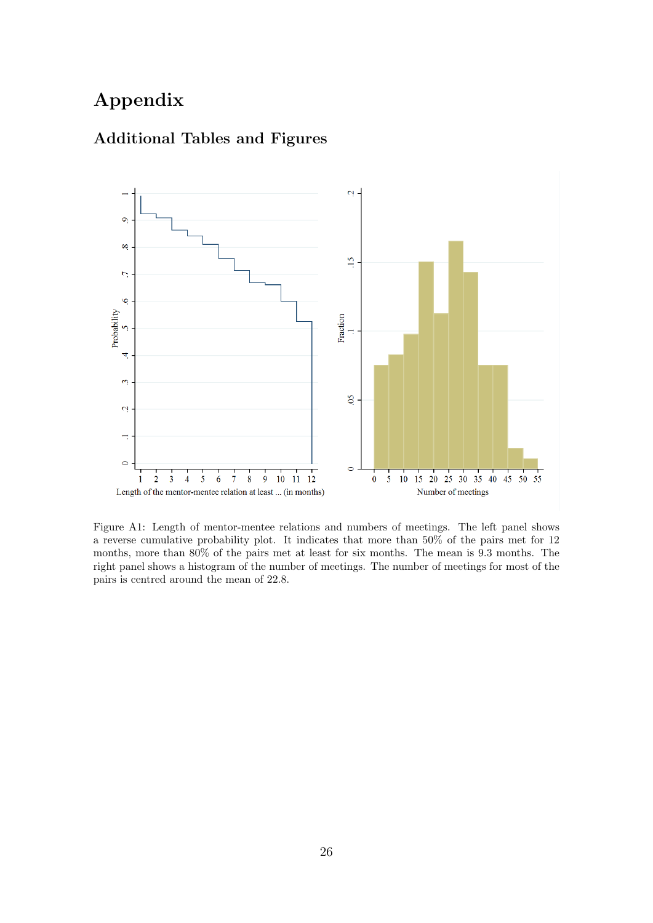# Appendix



### Additional Tables and Figures

Figure A1: Length of mentor-mentee relations and numbers of meetings. The left panel shows a reverse cumulative probability plot. It indicates that more than 50% of the pairs met for 12 months, more than 80% of the pairs met at least for six months. The mean is 9.3 months. The right panel shows a histogram of the number of meetings. The number of meetings for most of the pairs is centred around the mean of 22.8.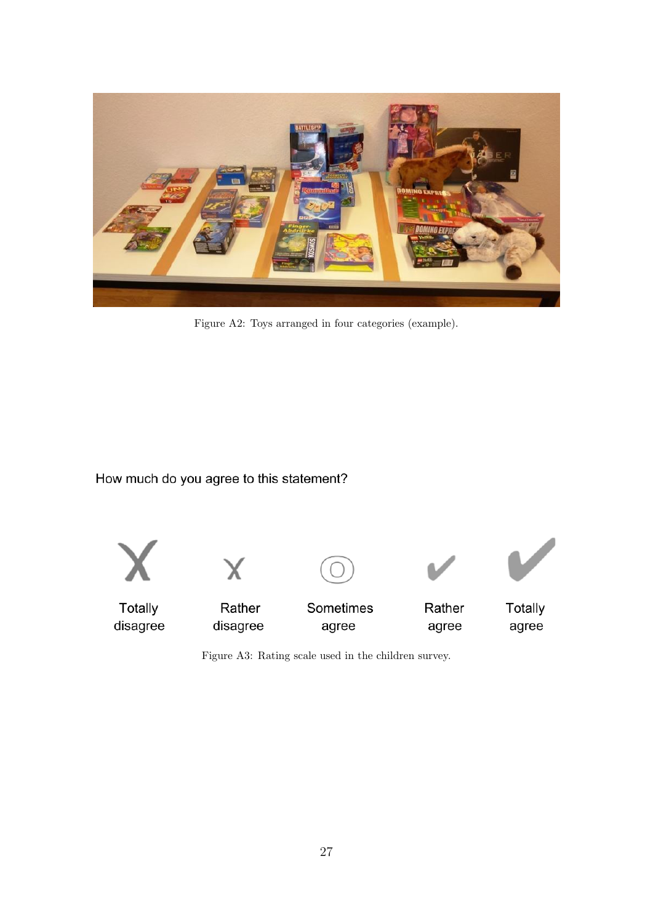

Figure A2: Toys arranged in four categories (example).

How much do you agree to this statement?



Figure A3: Rating scale used in the children survey.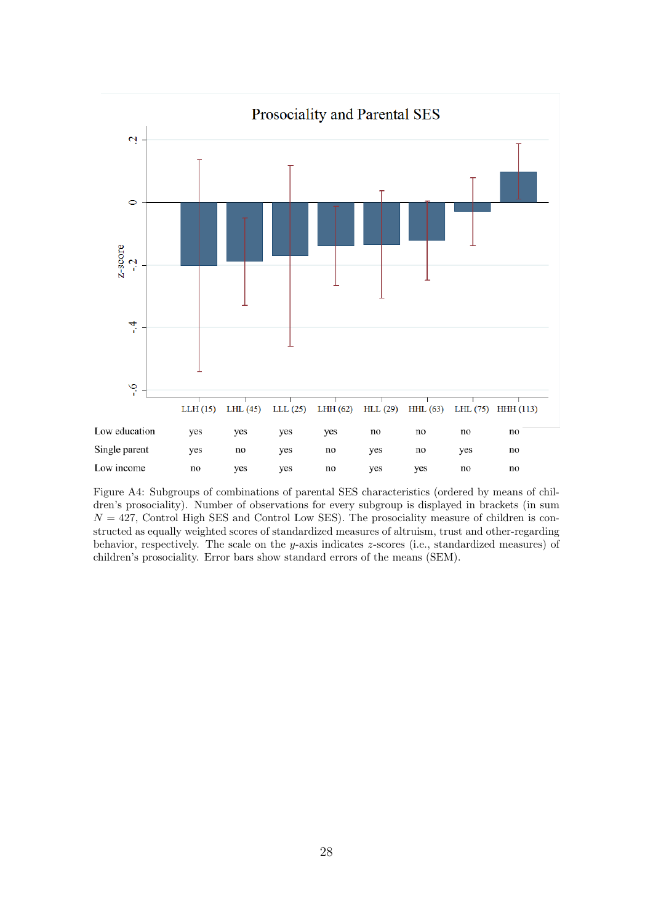

Figure A4: Subgroups of combinations of parental SES characteristics (ordered by means of children's prosociality). Number of observations for every subgroup is displayed in brackets (in sum  $N = 427$ , Control High SES and Control Low SES). The prosociality measure of children is constructed as equally weighted scores of standardized measures of altruism, trust and other-regarding behavior, respectively. The scale on the y-axis indicates z-scores (i.e., standardized measures) of children's prosociality. Error bars show standard errors of the means (SEM).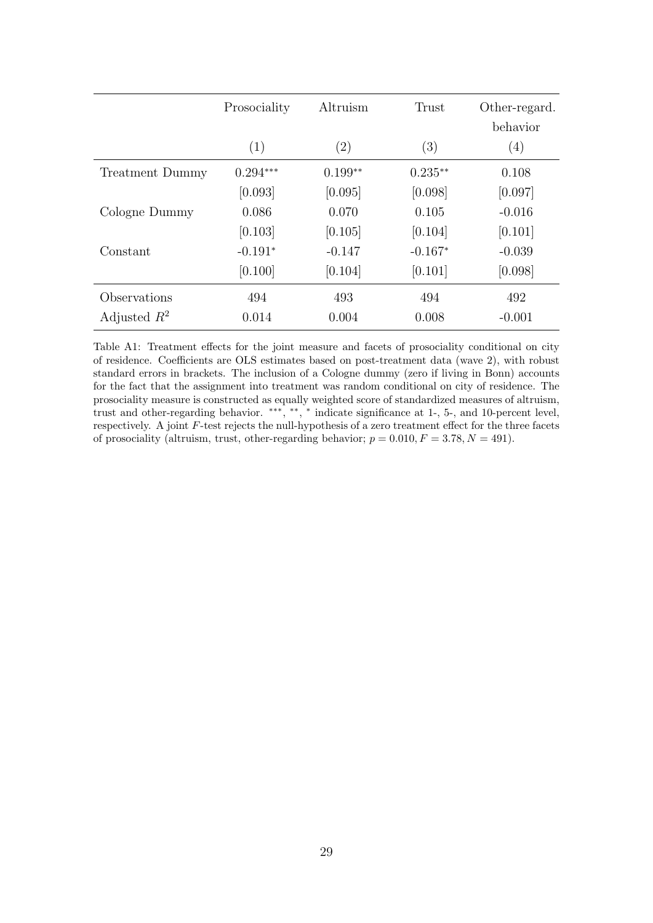|                        | Prosociality | Altruism          | Trust     | Other-regard.<br>behavior |
|------------------------|--------------|-------------------|-----------|---------------------------|
|                        | (1)          | $\left( 2\right)$ | (3)       | $\left( 4\right)$         |
| <b>Treatment Dummy</b> | $0.294***$   | $0.199**$         | $0.235**$ | 0.108                     |
|                        | [0.093]      | [0.095]           | [0.098]   | [0.097]                   |
| Cologne Dummy          | 0.086        | 0.070             | 0.105     | $-0.016$                  |
|                        | [0.103]      | [0.105]           | [0.104]   | [0.101]                   |
| Constant               | $-0.191*$    | $-0.147$          | $-0.167*$ | $-0.039$                  |
|                        | [0.100]      | [0.104]           | [0.101]   | [0.098]                   |
| Observations           | 494          | 493               | 494       | 492                       |
| Adjusted $R^2$         | 0.014        | 0.004             | 0.008     | $-0.001$                  |

Table A1: Treatment effects for the joint measure and facets of prosociality conditional on city of residence. Coefficients are OLS estimates based on post-treatment data (wave 2), with robust standard errors in brackets. The inclusion of a Cologne dummy (zero if living in Bonn) accounts for the fact that the assignment into treatment was random conditional on city of residence. The prosociality measure is constructed as equally weighted score of standardized measures of altruism, trust and other-regarding behavior. \*\*\*, \*\*, \* indicate significance at 1-, 5-, and 10-percent level, respectively. A joint F-test rejects the null-hypothesis of a zero treatment effect for the three facets of prosociality (altruism, trust, other-regarding behavior;  $p = 0.010, F = 3.78, N = 491$ ).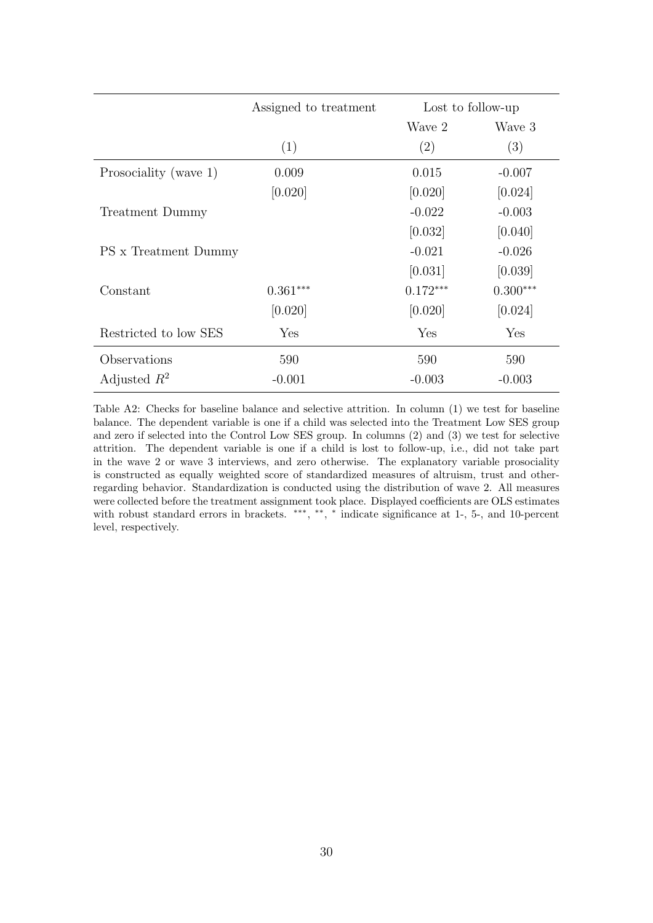|                       | Assigned to treatment | Lost to follow-up |            |
|-----------------------|-----------------------|-------------------|------------|
|                       |                       | Wave 2            | Wave 3     |
|                       | (1)                   | (2)               | (3)        |
| Prosociality (wave 1) | 0.009                 | 0.015             | $-0.007$   |
|                       | [0.020]               | [0.020]           | [0.024]    |
| Treatment Dummy       |                       | $-0.022$          | $-0.003$   |
|                       |                       | [0.032]           | [0.040]    |
| PS x Treatment Dummy  |                       | $-0.021$          | $-0.026$   |
|                       |                       | [0.031]           | [0.039]    |
| Constant              | $0.361***$            | $0.172***$        | $0.300***$ |
|                       | [0.020]               | [0.020]           | [0.024]    |
| Restricted to low SES | Yes                   | Yes               | Yes        |
| Observations          | 590                   | 590               | 590        |
| Adjusted $R^2$        | $-0.001$              | $-0.003$          | $-0.003$   |

Table A2: Checks for baseline balance and selective attrition. In column (1) we test for baseline balance. The dependent variable is one if a child was selected into the Treatment Low SES group and zero if selected into the Control Low SES group. In columns (2) and (3) we test for selective attrition. The dependent variable is one if a child is lost to follow-up, i.e., did not take part in the wave 2 or wave 3 interviews, and zero otherwise. The explanatory variable prosociality is constructed as equally weighted score of standardized measures of altruism, trust and otherregarding behavior. Standardization is conducted using the distribution of wave 2. All measures were collected before the treatment assignment took place. Displayed coefficients are OLS estimates with robust standard errors in brackets. \*\*\*, \*\*, \* indicate significance at 1-, 5-, and 10-percent level, respectively.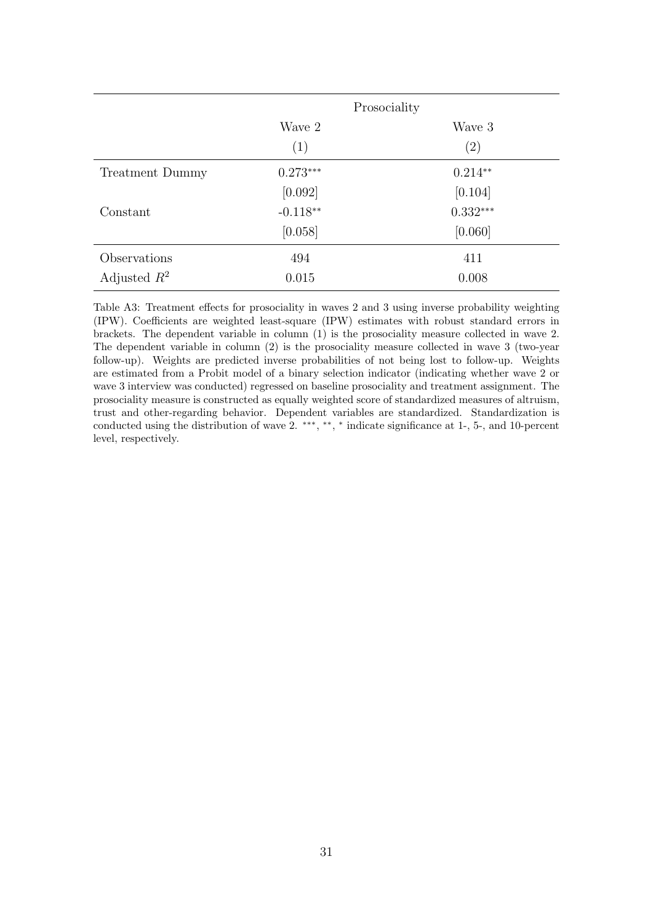|                 |            | Prosociality |  |
|-----------------|------------|--------------|--|
|                 | Wave 2     | Wave 3       |  |
|                 | (1)        | (2)          |  |
| Treatment Dummy | $0.273***$ | $0.214**$    |  |
|                 | [0.092]    | [0.104]      |  |
| Constant        | $-0.118**$ | $0.332***$   |  |
|                 | [0.058]    | [0.060]      |  |
| Observations    | 494        | 411          |  |
| Adjusted $R^2$  | 0.015      | 0.008        |  |

Table A3: Treatment effects for prosociality in waves 2 and 3 using inverse probability weighting (IPW). Coefficients are weighted least-square (IPW) estimates with robust standard errors in brackets. The dependent variable in column (1) is the prosociality measure collected in wave 2. The dependent variable in column (2) is the prosociality measure collected in wave 3 (two-year follow-up). Weights are predicted inverse probabilities of not being lost to follow-up. Weights are estimated from a Probit model of a binary selection indicator (indicating whether wave 2 or wave 3 interview was conducted) regressed on baseline prosociality and treatment assignment. The prosociality measure is constructed as equally weighted score of standardized measures of altruism, trust and other-regarding behavior. Dependent variables are standardized. Standardization is conducted using the distribution of wave 2. \*\*\*, \*\*, \* indicate significance at 1-, 5-, and 10-percent level, respectively.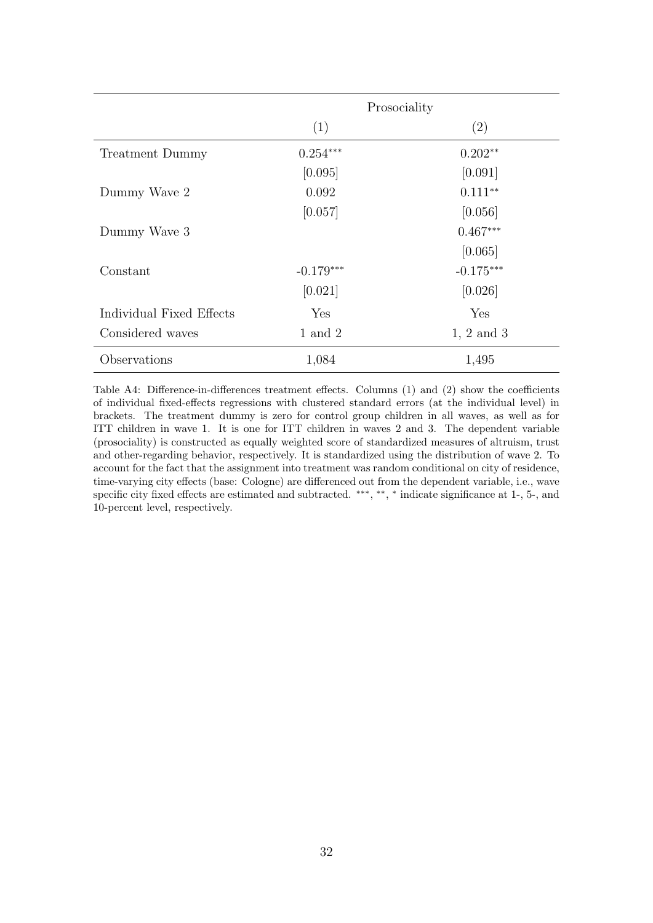|                          | Prosociality |                |  |
|--------------------------|--------------|----------------|--|
|                          | (1)          | (2)            |  |
| Treatment Dummy          | $0.254***$   | $0.202**$      |  |
|                          | [0.095]      | [0.091]        |  |
| Dummy Wave 2             | 0.092        | $0.111**$      |  |
|                          | [0.057]      | [0.056]        |  |
| Dummy Wave 3             |              | $0.467***$     |  |
|                          |              | [0.065]        |  |
| Constant                 | $-0.179***$  | $-0.175***$    |  |
|                          | [0.021]      | [0.026]        |  |
| Individual Fixed Effects | Yes          | Yes            |  |
| Considered waves         | $1$ and $2$  | $1, 2$ and $3$ |  |
| Observations             | 1,084        | 1,495          |  |

Table A4: Difference-in-differences treatment effects. Columns (1) and (2) show the coefficients of individual fixed-effects regressions with clustered standard errors (at the individual level) in brackets. The treatment dummy is zero for control group children in all waves, as well as for ITT children in wave 1. It is one for ITT children in waves 2 and 3. The dependent variable (prosociality) is constructed as equally weighted score of standardized measures of altruism, trust and other-regarding behavior, respectively. It is standardized using the distribution of wave 2. To account for the fact that the assignment into treatment was random conditional on city of residence, time-varying city effects (base: Cologne) are differenced out from the dependent variable, i.e., wave specific city fixed effects are estimated and subtracted. \*\*\*, \*\*, \* indicate significance at 1-, 5-, and 10-percent level, respectively.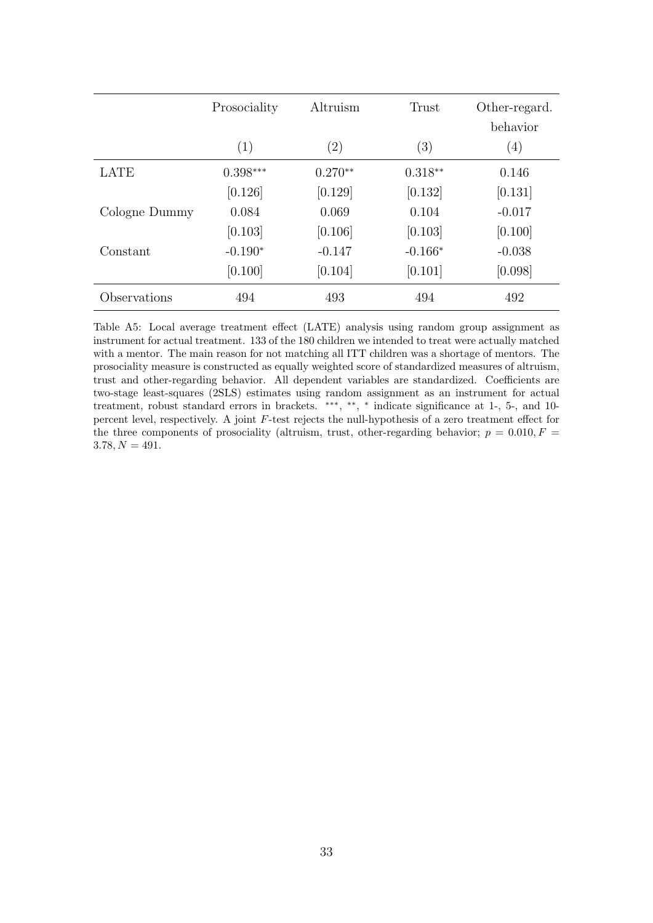|               | Prosociality | Altruism          | Trust     | Other-regard.<br>behavior |
|---------------|--------------|-------------------|-----------|---------------------------|
|               | (1)          | $\left( 2\right)$ | (3)       | (4)                       |
| <b>LATE</b>   | $0.398***$   | $0.270**$         | $0.318**$ | 0.146                     |
|               | [0.126]      | [0.129]           | [0.132]   | [0.131]                   |
| Cologne Dummy | 0.084        | 0.069             | 0.104     | $-0.017$                  |
|               | [0.103]      | [0.106]           | [0.103]   | [0.100]                   |
| Constant      | $-0.190*$    | $-0.147$          | $-0.166*$ | $-0.038$                  |
|               | [0.100]      | [0.104]           | [0.101]   | [0.098]                   |
| Observations  | 494          | 493               | 494       | 492                       |

Table A5: Local average treatment effect (LATE) analysis using random group assignment as instrument for actual treatment. 133 of the 180 children we intended to treat were actually matched with a mentor. The main reason for not matching all ITT children was a shortage of mentors. The prosociality measure is constructed as equally weighted score of standardized measures of altruism, trust and other-regarding behavior. All dependent variables are standardized. Coefficients are two-stage least-squares (2SLS) estimates using random assignment as an instrument for actual treatment, robust standard errors in brackets. \*\*\*, \*\*, \* indicate significance at 1-, 5-, and 10percent level, respectively. A joint F-test rejects the null-hypothesis of a zero treatment effect for the three components of prosociality (altruism, trust, other-regarding behavior;  $p = 0.010, F =$  $3.78, N = 491.$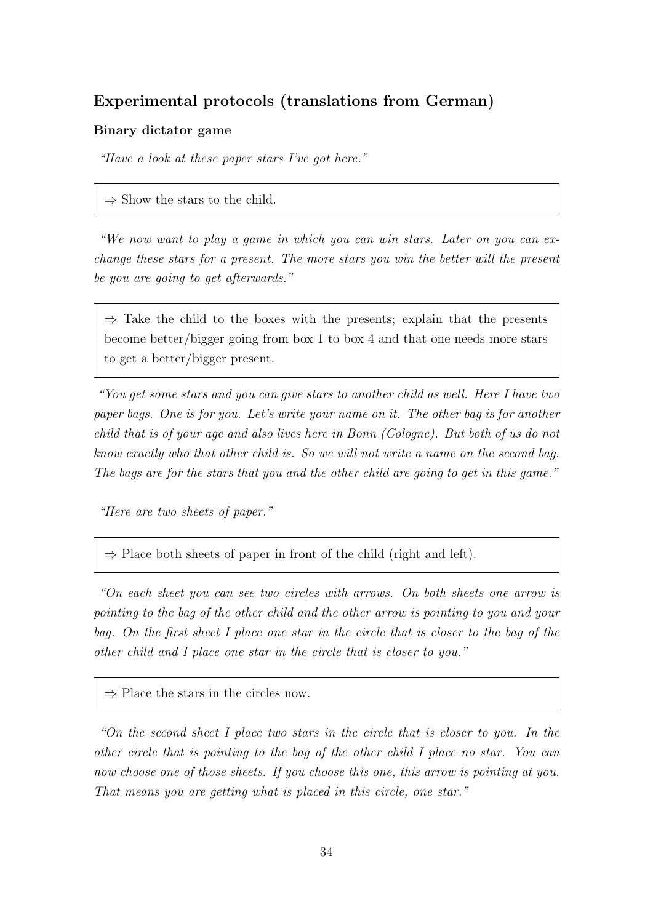### Experimental protocols (translations from German)

#### Binary dictator game

"Have a look at these paper stars I've got here."

 $\Rightarrow$  Show the stars to the child.

"We now want to play a game in which you can win stars. Later on you can exchange these stars for a present. The more stars you win the better will the present be you are going to get afterwards."

 $\Rightarrow$  Take the child to the boxes with the presents; explain that the presents become better/bigger going from box 1 to box 4 and that one needs more stars to get a better/bigger present.

"You get some stars and you can give stars to another child as well. Here I have two paper bags. One is for you. Let's write your name on it. The other bag is for another child that is of your age and also lives here in Bonn (Cologne). But both of us do not know exactly who that other child is. So we will not write a name on the second bag. The bags are for the stars that you and the other child are going to get in this game."

"Here are two sheets of paper."

 $\Rightarrow$  Place both sheets of paper in front of the child (right and left).

"On each sheet you can see two circles with arrows. On both sheets one arrow is pointing to the bag of the other child and the other arrow is pointing to you and your bag. On the first sheet I place one star in the circle that is closer to the bag of the other child and I place one star in the circle that is closer to you."

 $\Rightarrow$  Place the stars in the circles now.

"On the second sheet I place two stars in the circle that is closer to you. In the other circle that is pointing to the bag of the other child I place no star. You can now choose one of those sheets. If you choose this one, this arrow is pointing at you. That means you are getting what is placed in this circle, one star."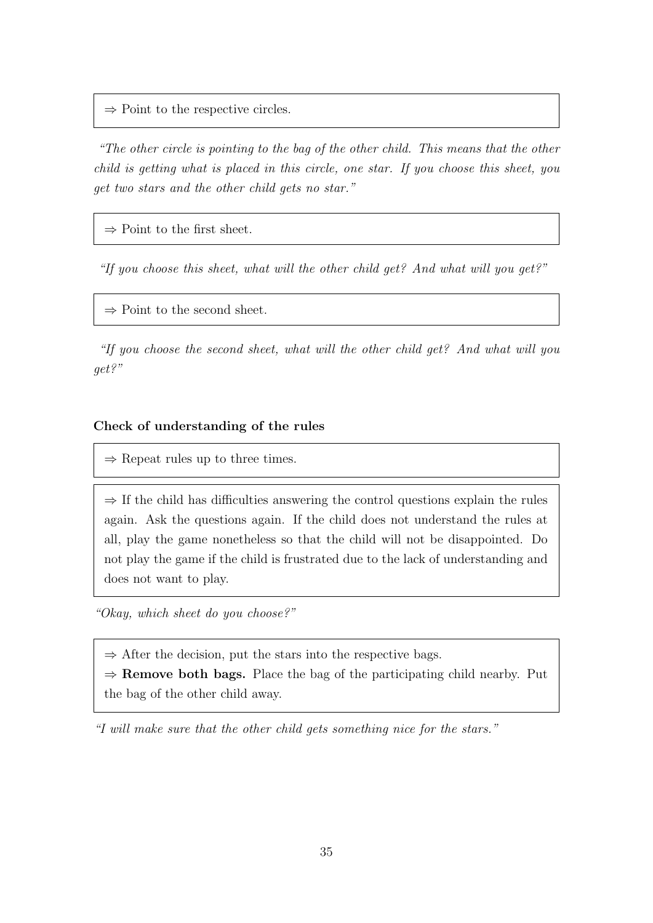$\Rightarrow$  Point to the respective circles.

"The other circle is pointing to the bag of the other child. This means that the other child is getting what is placed in this circle, one star. If you choose this sheet, you get two stars and the other child gets no star."

 $\Rightarrow$  Point to the first sheet.

"If you choose this sheet, what will the other child get? And what will you get?"

 $\Rightarrow$  Point to the second sheet.

"If you choose the second sheet, what will the other child get? And what will you get?"

### Check of understanding of the rules

 $\Rightarrow$  Repeat rules up to three times.

 $\Rightarrow$  If the child has difficulties answering the control questions explain the rules again. Ask the questions again. If the child does not understand the rules at all, play the game nonetheless so that the child will not be disappointed. Do not play the game if the child is frustrated due to the lack of understanding and does not want to play.

"Okay, which sheet do you choose?"

 $\Rightarrow$  After the decision, put the stars into the respective bags.

 $\Rightarrow$  **Remove both bags.** Place the bag of the participating child nearby. Put the bag of the other child away.

"I will make sure that the other child gets something nice for the stars."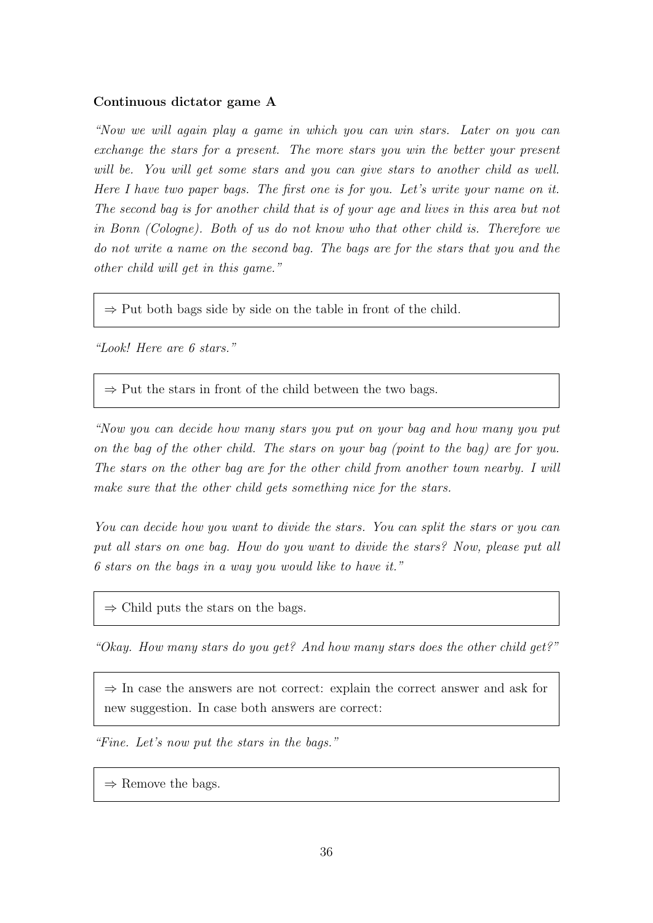#### Continuous dictator game A

"Now we will again play a game in which you can win stars. Later on you can exchange the stars for a present. The more stars you win the better your present will be. You will get some stars and you can give stars to another child as well. Here I have two paper bags. The first one is for you. Let's write your name on it. The second bag is for another child that is of your age and lives in this area but not in Bonn (Cologne). Both of us do not know who that other child is. Therefore we do not write a name on the second bag. The bags are for the stars that you and the other child will get in this game."

 $\Rightarrow$  Put both bags side by side on the table in front of the child.

"Look! Here are 6 stars."

 $\Rightarrow$  Put the stars in front of the child between the two bags.

"Now you can decide how many stars you put on your bag and how many you put on the bag of the other child. The stars on your bag (point to the bag) are for you. The stars on the other bag are for the other child from another town nearby. I will make sure that the other child gets something nice for the stars.

You can decide how you want to divide the stars. You can split the stars or you can put all stars on one bag. How do you want to divide the stars? Now, please put all 6 stars on the bags in a way you would like to have it."

 $\Rightarrow$  Child puts the stars on the bags.

"Okay. How many stars do you get? And how many stars does the other child get?"

 $\Rightarrow$  In case the answers are not correct: explain the correct answer and ask for new suggestion. In case both answers are correct:

"Fine. Let's now put the stars in the bags."

 $\Rightarrow$  Remove the bags.